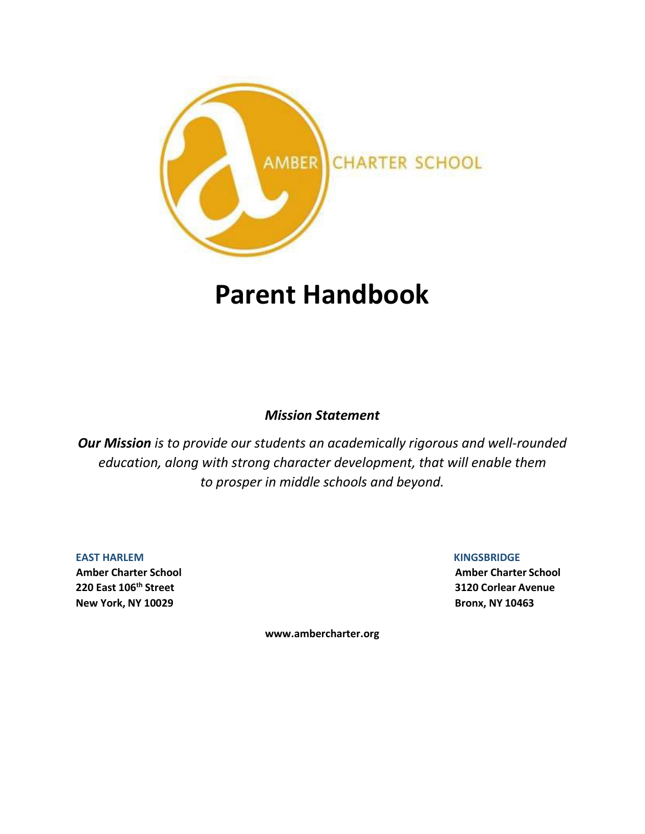

# **Parent Handbook**

### *Mission Statement*

*Our Mission is to provide our students an academically rigorous and well-rounded education, along with strong character development, that will enable them to prosper in middle schools and beyond.*

**EAST HARLEM KINGSBRIDGE New York, NY 10029 Bronx, NY 10463**

**Amber Charter School Amber Charter School 220 East 106th Street 3120 Corlear Avenue**

**[www.ambercharter.org](http://www.ambercharter.org/)**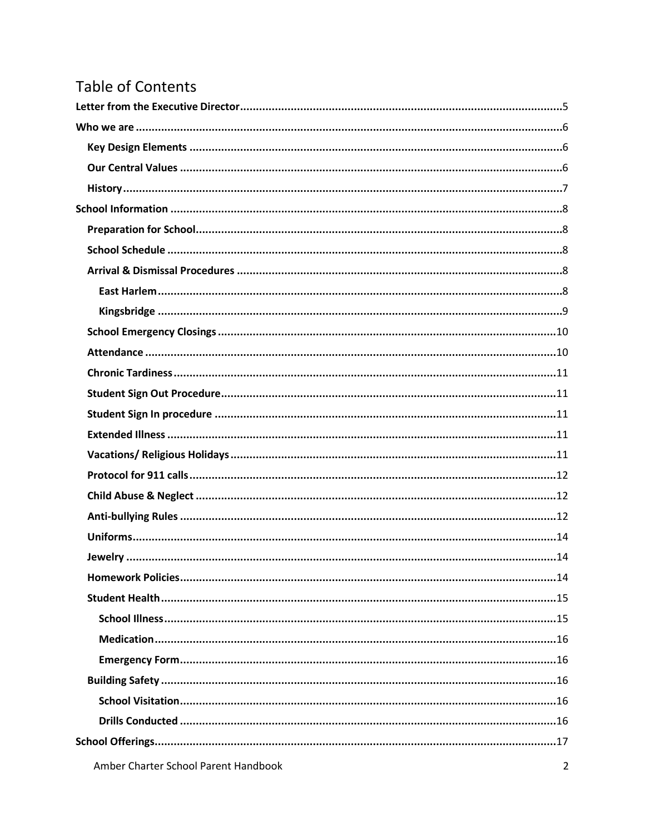## **Table of Contents**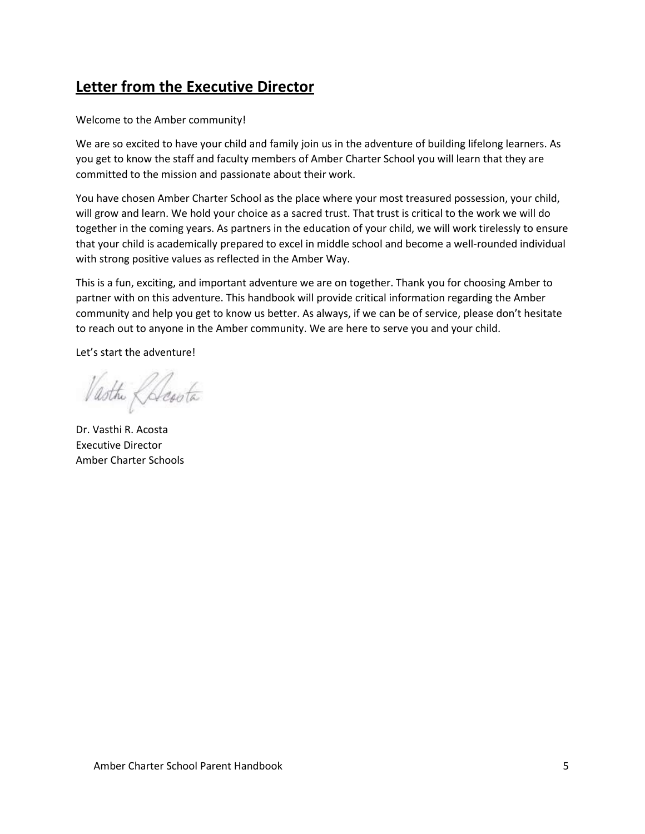## <span id="page-4-0"></span>**Letter from the Executive Director**

Welcome to the Amber community!

We are so excited to have your child and family join us in the adventure of building lifelong learners. As you get to know the staff and faculty members of Amber Charter School you will learn that they are committed to the mission and passionate about their work.

You have chosen Amber Charter School as the place where your most treasured possession, your child, will grow and learn. We hold your choice as a sacred trust. That trust is critical to the work we will do together in the coming years. As partners in the education of your child, we will work tirelessly to ensure that your child is academically prepared to excel in middle school and become a well-rounded individual with strong positive values as reflected in the Amber Way.

This is a fun, exciting, and important adventure we are on together. Thank you for choosing Amber to partner with on this adventure. This handbook will provide critical information regarding the Amber community and help you get to know us better. As always, if we can be of service, please don't hesitate to reach out to anyone in the Amber community. We are here to serve you and your child.

Let's start the adventure!

Vasthe Chesota

Dr. Vasthi R. Acosta Executive Director Amber Charter Schools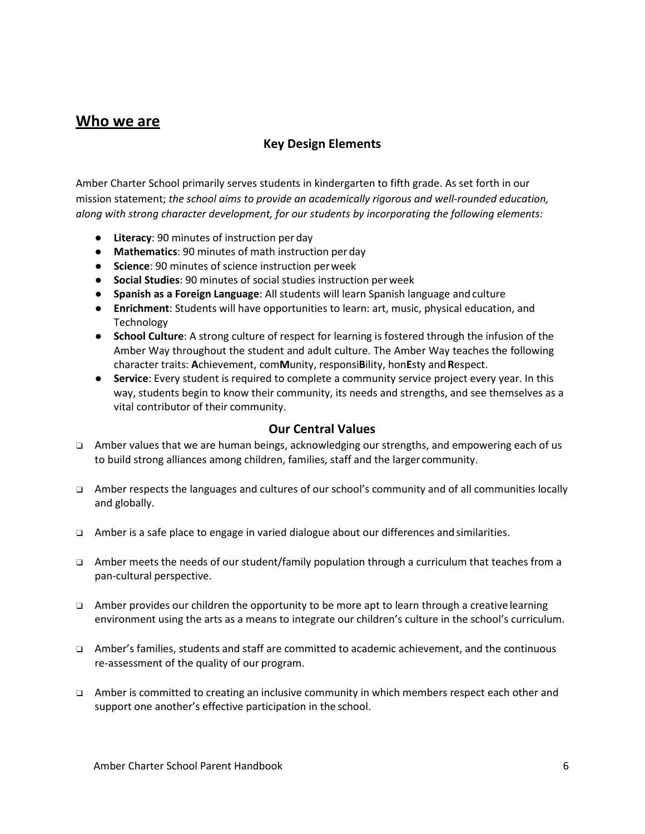### <span id="page-5-0"></span>**Who we are**

### <span id="page-5-1"></span>**Key Design Elements**

Amber Charter School primarily serves students in kindergarten to fifth grade. As set forth in our mission statement; *the school aims to provide an academically rigorous and well-rounded education, along with strong character development, for our students by incorporating the following elements:*

- **Literacy**: 90 minutes of instruction per day
- **Mathematics**: 90 minutes of math instruction per day
- **Science**: 90 minutes of science instruction perweek
- **Social Studies**: 90 minutes of social studies instruction per week
- **Spanish as a Foreign Language**: All students will learn Spanish language and culture
- **Enrichment**: Students will have opportunities to learn: art, music, physical education, and Technology
- **School Culture**: A strong culture of respect for learning is fostered through the infusion of the Amber Way throughout the student and adult culture. The Amber Way teaches the following character traits: **A**chievement, com**M**unity, responsi**B**ility, hon**E**sty and**R**espect.
- **Service**: Every student is required to complete a community service project every year. In this way, students begin to know their community, its needs and strengths, and see themselves as a vital contributor of their community.

#### **Our Central Values**

- <span id="page-5-2"></span>❑ Amber values that we are human beings, acknowledging our strengths, and empowering each of us to build strong alliances among children, families, staff and the larger community.
- ❑ Amber respects the languages and cultures of our school's community and of all communities locally and globally.
- ❑ Amber is a safe place to engage in varied dialogue about our differences and similarities.
- ❑ Amber meets the needs of our student/family population through a curriculum that teaches from a pan-cultural perspective.
- ❑ Amber provides our children the opportunity to be more apt to learn through a creative learning environment using the arts as a means to integrate our children's culture in the school's curriculum.
- ❑ Amber's families, students and staff are committed to academic achievement, and the continuous re-assessment of the quality of our program.
- ❑ Amber is committed to creating an inclusive community in which members respect each other and support one another's effective participation in the school.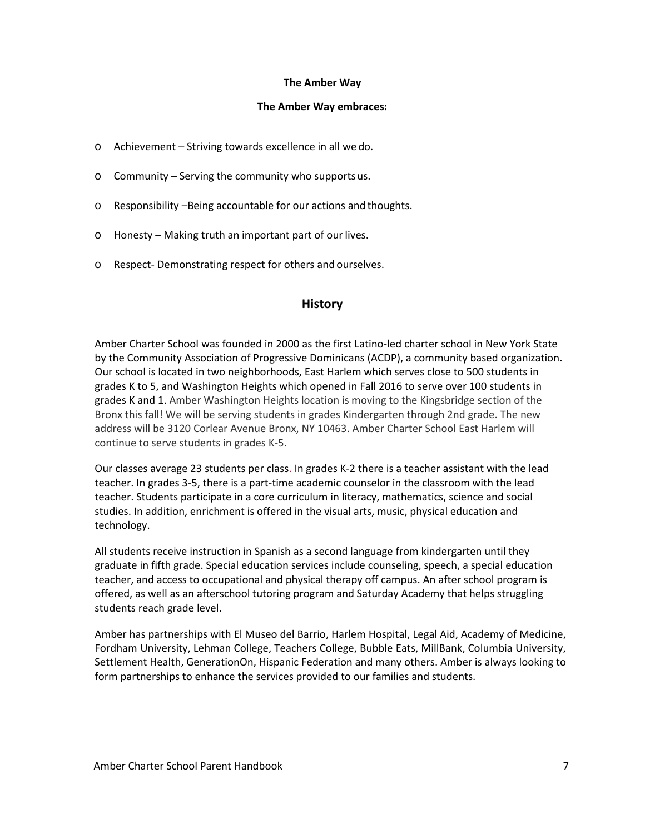#### **The Amber Way**

#### **The Amber Way embraces:**

- o Achievement Striving towards excellence in all we do.
- o Community Serving the community who supports us.
- o Responsibility –Being accountable for our actions and thoughts.
- o Honesty Making truth an important part of our lives.
- <span id="page-6-0"></span>o Respect- Demonstrating respect for others and ourselves.

#### **History**

Amber Charter School was founded in 2000 as the first Latino-led charter school in New York State by the Community Association of Progressive Dominicans (ACDP), a community based organization. Our school is located in two neighborhoods, East Harlem which serves close to 500 students in grades K to 5, and Washington Heights which opened in Fall 2016 to serve over 100 students in grades K and 1. Amber Washington Heights location is moving to the Kingsbridge section of the Bronx this fall! We will be serving students in grades Kindergarten through 2nd grade. The new address will be 3120 Corlear Avenue Bronx, NY 10463. Amber Charter School East Harlem will continue to serve students in grades K-5.

Our classes average 23 students per class. In grades K-2 there is a teacher assistant with the lead teacher. In grades 3-5, there is a part-time academic counselor in the classroom with the lead teacher. Students participate in a core curriculum in literacy, mathematics, science and social studies. In addition, enrichment is offered in the visual arts, music, physical education and technology.

All students receive instruction in Spanish as a second language from kindergarten until they graduate in fifth grade. Special education services include counseling, speech, a special education teacher, and access to occupational and physical therapy off campus. An after school program is offered, as well as an afterschool tutoring program and Saturday Academy that helps struggling students reach grade level.

Amber has partnerships with El Museo del Barrio, Harlem Hospital, Legal Aid, Academy of Medicine, Fordham University, Lehman College, Teachers College, Bubble Eats, MillBank, Columbia University, Settlement Health, GenerationOn, Hispanic Federation and many others. Amber is always looking to form partnerships to enhance the services provided to our families and students.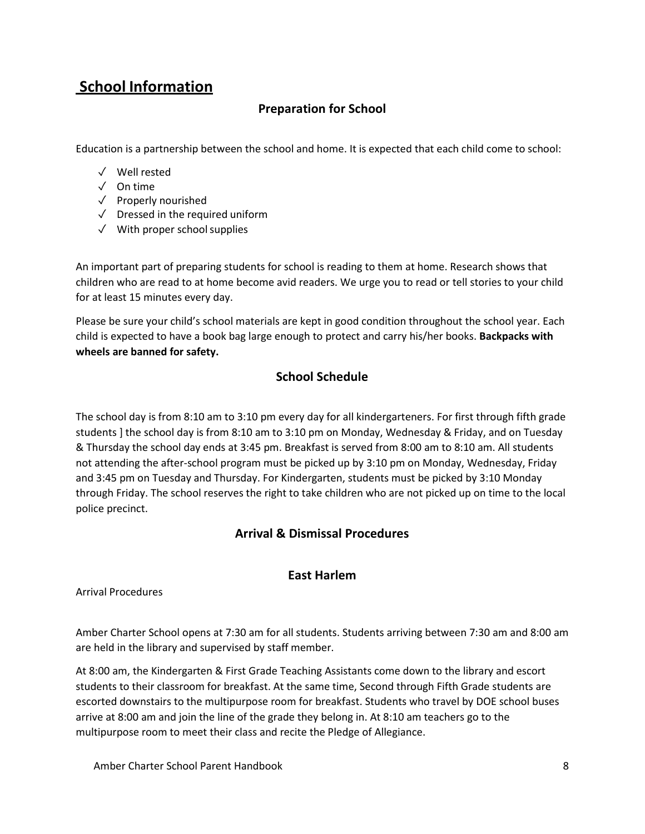## <span id="page-7-0"></span>**School Information**

### <span id="page-7-1"></span>**Preparation for School**

Education is a partnership between the school and home. It is expected that each child come to school:

- ✓ Well rested
- ✓ On time
- ✓ Properly nourished
- ✓ Dressed in the required uniform
- $\sqrt{\phantom{a}}$  With proper school supplies

An important part of preparing students for school is reading to them at home. Research shows that children who are read to at home become avid readers. We urge you to read or tell stories to your child for at least 15 minutes every day.

Please be sure your child's school materials are kept in good condition throughout the school year. Each child is expected to have a book bag large enough to protect and carry his/her books. **Backpacks with wheels are banned for safety.**

### **School Schedule**

<span id="page-7-2"></span>The school day is from 8:10 am to 3:10 pm every day for all kindergarteners. For first through fifth grade students ] the school day is from 8:10 am to 3:10 pm on Monday, Wednesday & Friday, and on Tuesday & Thursday the school day ends at 3:45 pm. Breakfast is served from 8:00 am to 8:10 am. All students not attending the after-school program must be picked up by 3:10 pm on Monday, Wednesday, Friday and 3:45 pm on Tuesday and Thursday. For Kindergarten, students must be picked by 3:10 Monday through Friday. The school reserves the right to take children who are not picked up on time to the local police precinct.

### **Arrival & Dismissal Procedures**

### **East Harlem**

### <span id="page-7-4"></span><span id="page-7-3"></span>Arrival Procedures

Amber Charter School opens at 7:30 am for all students. Students arriving between 7:30 am and 8:00 am are held in the library and supervised by staff member.

At 8:00 am, the Kindergarten & First Grade Teaching Assistants come down to the library and escort students to their classroom for breakfast. At the same time, Second through Fifth Grade students are escorted downstairs to the multipurpose room for breakfast. Students who travel by DOE school buses arrive at 8:00 am and join the line of the grade they belong in. At 8:10 am teachers go to the multipurpose room to meet their class and recite the Pledge of Allegiance.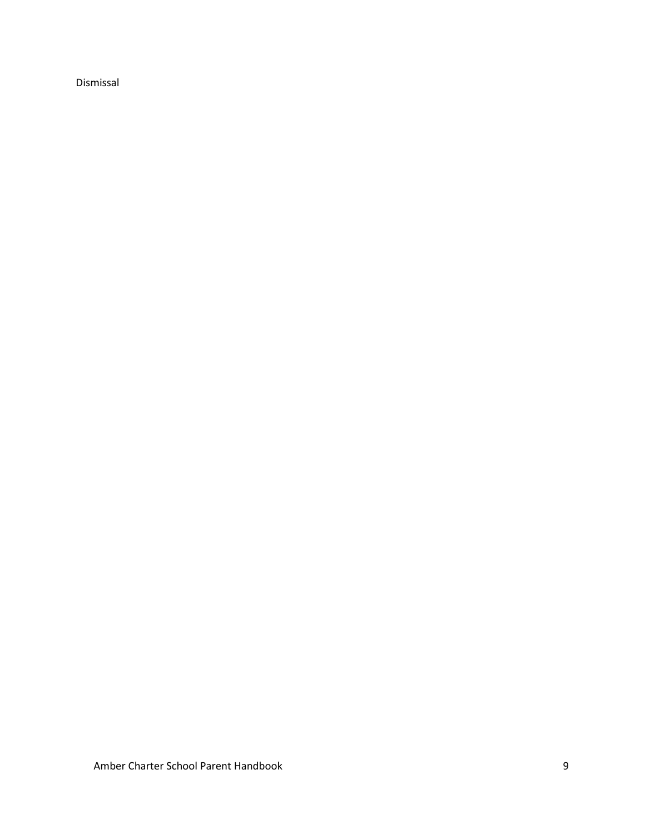Dismissal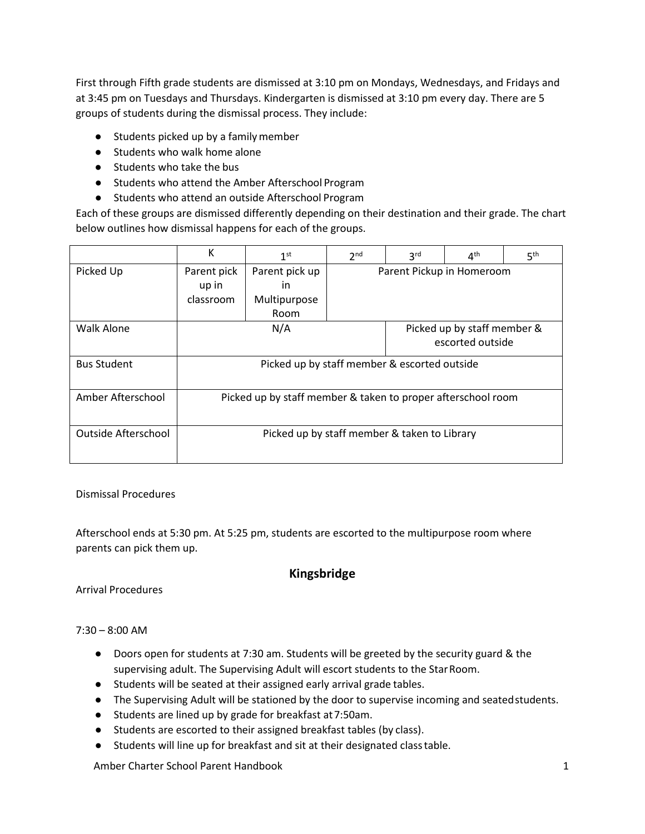First through Fifth grade students are dismissed at 3:10 pm on Mondays, Wednesdays, and Fridays and at 3:45 pm on Tuesdays and Thursdays. Kindergarten is dismissed at 3:10 pm every day. There are 5 groups of students during the dismissal process. They include:

- Students picked up by a family member
- Students who walk home alone
- Students who take the bus
- Students who attend the Amber Afterschool Program
- Students who attend an outside Afterschool Program

Each of these groups are dismissed differently depending on their destination and their grade. The chart below outlines how dismissal happens for each of the groups.

|                     | К                                                            | 1 <sup>st</sup> | 2 <sub>nd</sub>           | 3 <sup>rd</sup> | 4 <sup>th</sup>                                 | 5 <sup>th</sup> |
|---------------------|--------------------------------------------------------------|-----------------|---------------------------|-----------------|-------------------------------------------------|-----------------|
| Picked Up           | Parent pick                                                  | Parent pick up  | Parent Pickup in Homeroom |                 |                                                 |                 |
|                     | up in                                                        | in              |                           |                 |                                                 |                 |
|                     | classroom                                                    | Multipurpose    |                           |                 |                                                 |                 |
|                     |                                                              | <b>Room</b>     |                           |                 |                                                 |                 |
| <b>Walk Alone</b>   |                                                              | N/A             |                           |                 | Picked up by staff member &<br>escorted outside |                 |
| <b>Bus Student</b>  | Picked up by staff member & escorted outside                 |                 |                           |                 |                                                 |                 |
| Amber Afterschool   | Picked up by staff member & taken to proper afterschool room |                 |                           |                 |                                                 |                 |
| Outside Afterschool | Picked up by staff member & taken to Library                 |                 |                           |                 |                                                 |                 |

Dismissal Procedures

Afterschool ends at 5:30 pm. At 5:25 pm, students are escorted to the multipurpose room where parents can pick them up.

### **Kingsbridge**

<span id="page-9-0"></span>Arrival Procedures

#### 7:30 – 8:00 AM

- Doors open for students at 7:30 am. Students will be greeted by the security guard & the supervising adult. The Supervising Adult will escort students to the Star Room.
- Students will be seated at their assigned early arrival grade tables.
- The Supervising Adult will be stationed by the door to supervise incoming and seatedstudents.
- Students are lined up by grade for breakfast at7:50am.
- Students are escorted to their assigned breakfast tables (by class).
- Students will line up for breakfast and sit at their designated classtable.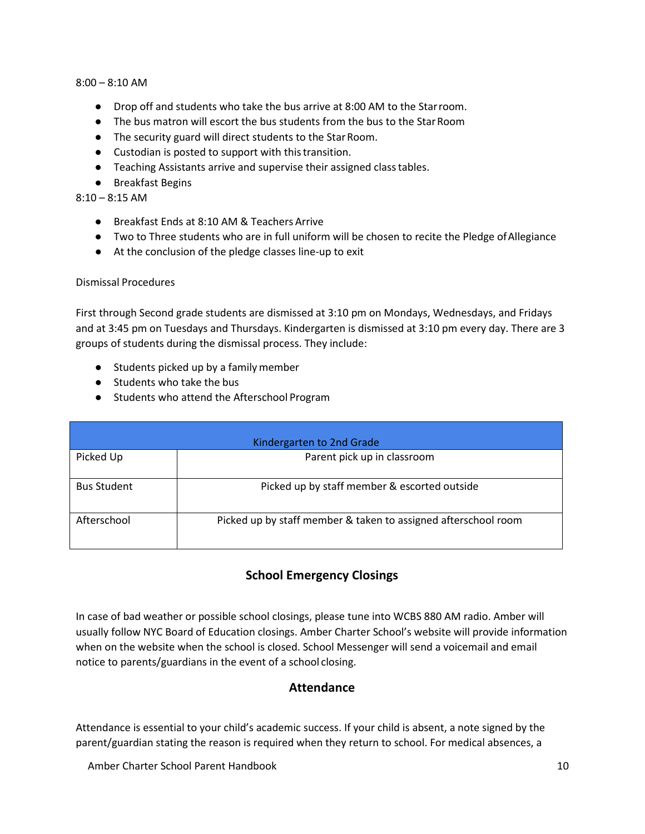#### 8:00 – 8:10 AM

- Drop off and students who take the bus arrive at 8:00 AM to the Starroom.
- The bus matron will escort the bus students from the bus to the StarRoom
- The security guard will direct students to the StarRoom.
- Custodian is posted to support with thistransition.
- Teaching Assistants arrive and supervise their assigned classtables.
- Breakfast Begins

 $8:10 - 8:15$  AM

- Breakfast Ends at 8:10 AM & Teachers Arrive
- Two to Three students who are in full uniform will be chosen to recite the Pledge ofAllegiance
- At the conclusion of the pledge classes line-up to exit

#### Dismissal Procedures

First through Second grade students are dismissed at 3:10 pm on Mondays, Wednesdays, and Fridays and at 3:45 pm on Tuesdays and Thursdays. Kindergarten is dismissed at 3:10 pm every day. There are 3 groups of students during the dismissal process. They include:

- Students picked up by a family member
- Students who take the bus
- Students who attend the Afterschool Program

| Kindergarten to 2nd Grade |                                                                |  |  |
|---------------------------|----------------------------------------------------------------|--|--|
| Picked Up                 | Parent pick up in classroom                                    |  |  |
| <b>Bus Student</b>        | Picked up by staff member & escorted outside                   |  |  |
| Afterschool               | Picked up by staff member & taken to assigned afterschool room |  |  |

### **School Emergency Closings**

<span id="page-10-0"></span>In case of bad weather or possible school closings, please tune into WCBS 880 AM radio. Amber will usually follow NYC Board of Education closings. Amber Charter School's website will provide information when on the website when the school is closed. School Messenger will send a voicemail and email notice to parents/guardians in the event of a school closing.

#### **Attendance**

<span id="page-10-1"></span>Attendance is essential to your child's academic success. If your child is absent, a note signed by the parent/guardian stating the reason is required when they return to school. For medical absences, a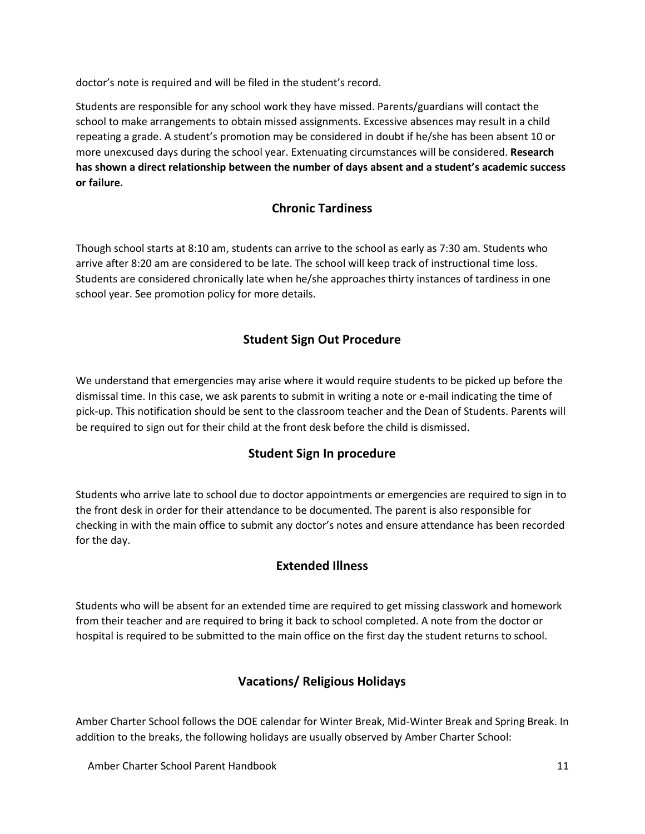doctor's note is required and will be filed in the student's record.

Students are responsible for any school work they have missed. Parents/guardians will contact the school to make arrangements to obtain missed assignments. Excessive absences may result in a child repeating a grade. A student's promotion may be considered in doubt if he/she has been absent 10 or more unexcused days during the school year. Extenuating circumstances will be considered. **Research has shown a direct relationship between the number of days absent and a student's academic success or failure.**

### **Chronic Tardiness**

<span id="page-11-0"></span>Though school starts at 8:10 am, students can arrive to the school as early as 7:30 am. Students who arrive after 8:20 am are considered to be late. The school will keep track of instructional time loss. Students are considered chronically late when he/she approaches thirty instances of tardiness in one school year. See promotion policy for more details.

### **Student Sign Out Procedure**

<span id="page-11-1"></span>We understand that emergencies may arise where it would require students to be picked up before the dismissal time. In this case, we ask parents to submit in writing a note or e-mail indicating the time of pick-up. This notification should be sent to the classroom teacher and the Dean of Students. Parents will be required to sign out for their child at the front desk before the child is dismissed.

### **Student Sign In procedure**

<span id="page-11-2"></span>Students who arrive late to school due to doctor appointments or emergencies are required to sign in to the front desk in order for their attendance to be documented. The parent is also responsible for checking in with the main office to submit any doctor's notes and ensure attendance has been recorded for the day.

### **Extended Illness**

<span id="page-11-3"></span>Students who will be absent for an extended time are required to get missing classwork and homework from their teacher and are required to bring it back to school completed. A note from the doctor or hospital is required to be submitted to the main office on the first day the student returns to school.

### **Vacations/ Religious Holidays**

<span id="page-11-4"></span>Amber Charter School follows the DOE calendar for Winter Break, Mid-Winter Break and Spring Break. In addition to the breaks, the following holidays are usually observed by Amber Charter School:

Amber Charter School Parent Handbook 11 and 12 and 12 and 12 and 12 and 12 and 13 and 14 and 14 and 14 and 14 and 14 and 15 and 16 and 17 and 17 and 17 and 17 and 17 and 17 and 17 and 17 and 17 and 17 and 17 and 17 and 17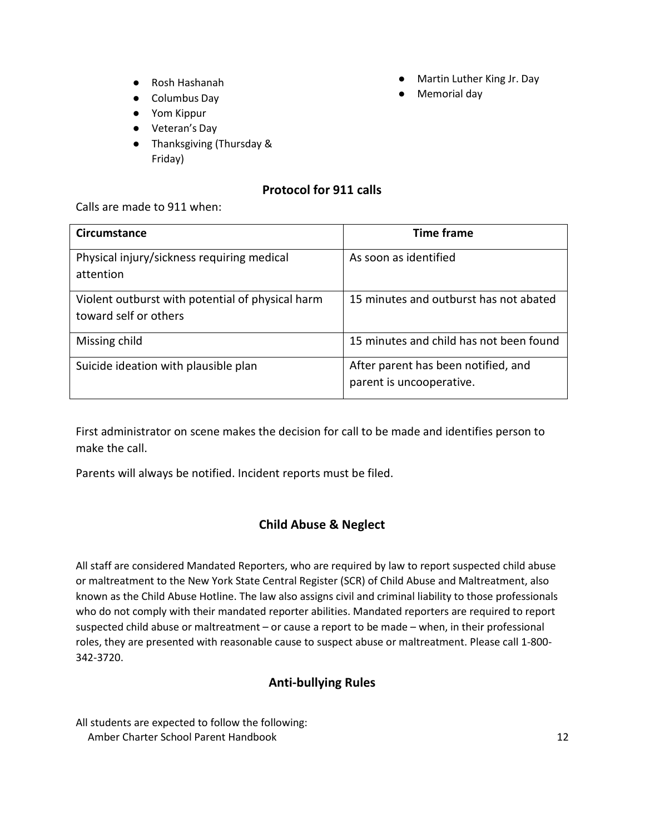- Rosh Hashanah
- Columbus Day
- Yom Kippur
- Veteran's Day
- Thanksgiving (Thursday & Friday)

### **Protocol for 911 calls**

<span id="page-12-0"></span>Calls are made to 911 when:

| Circumstance                                                              | <b>Time frame</b>                                               |
|---------------------------------------------------------------------------|-----------------------------------------------------------------|
| Physical injury/sickness requiring medical<br>attention                   | As soon as identified                                           |
| Violent outburst with potential of physical harm<br>toward self or others | 15 minutes and outburst has not abated                          |
| Missing child                                                             | 15 minutes and child has not been found                         |
| Suicide ideation with plausible plan                                      | After parent has been notified, and<br>parent is uncooperative. |

First administrator on scene makes the decision for call to be made and identifies person to make the call.

Parents will always be notified. Incident reports must be filed.

### **Child Abuse & Neglect**

<span id="page-12-1"></span>All staff are considered Mandated Reporters, who are required by law to report suspected child abuse or maltreatment to the New York State Central Register (SCR) of Child Abuse and Maltreatment, also known as the Child Abuse Hotline. The law also assigns civil and criminal liability to those professionals who do not comply with their mandated reporter abilities. Mandated reporters are required to report suspected child abuse or maltreatment – or cause a report to be made – when, in their professional roles, they are presented with reasonable cause to suspect abuse or maltreatment. Please call 1-800- 342-3720.

### **Anti-bullying Rules**

<span id="page-12-2"></span>All students are expected to follow the following: Amber Charter School Parent Handbook 12

- Martin Luther King Jr. Day
- Memorial day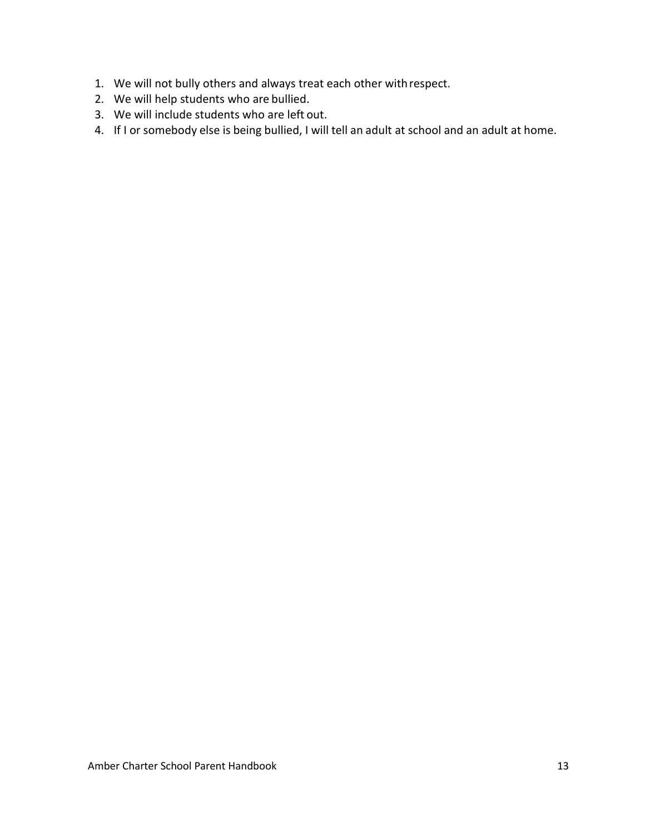- 1. We will not bully others and always treat each other withrespect.
- 2. We will help students who are bullied.
- 3. We will include students who are left out.
- 4. If I or somebody else is being bullied, I will tell an adult at school and an adult at home.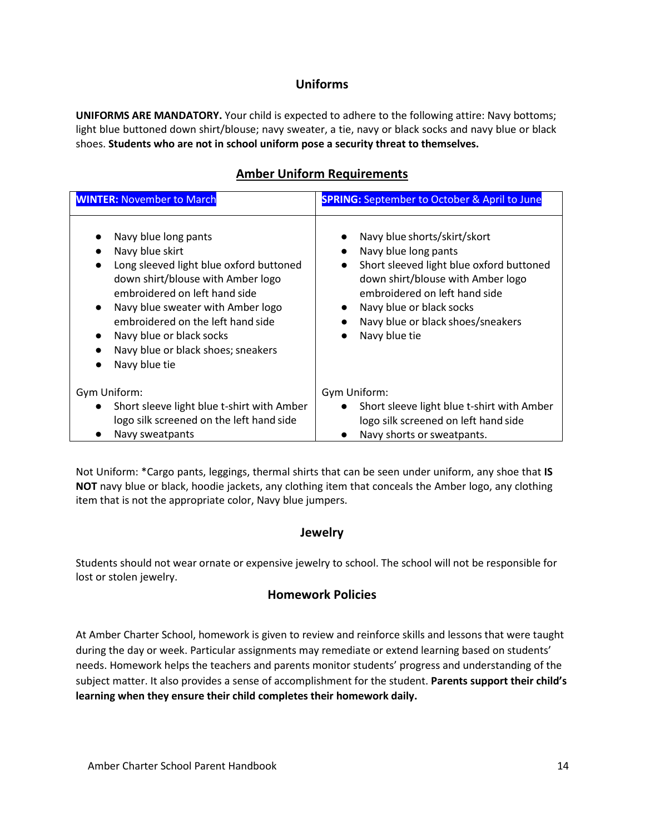### **Uniforms**

<span id="page-14-0"></span>**UNIFORMS ARE MANDATORY.** Your child is expected to adhere to the following attire: Navy bottoms; light blue buttoned down shirt/blouse; navy sweater, a tie, navy or black socks and navy blue or black shoes. **Students who are not in school uniform pose a security threat to themselves.**

### **Amber Uniform Requirements**

| <b>WINTER: November to March</b>                                                                                                                                                                                                                                                                                      | <b>SPRING:</b> September to October & April to June                                                                                                                                                                                                                                |  |  |
|-----------------------------------------------------------------------------------------------------------------------------------------------------------------------------------------------------------------------------------------------------------------------------------------------------------------------|------------------------------------------------------------------------------------------------------------------------------------------------------------------------------------------------------------------------------------------------------------------------------------|--|--|
| Navy blue long pants<br>Navy blue skirt<br>Long sleeved light blue oxford buttoned<br>down shirt/blouse with Amber logo<br>embroidered on left hand side<br>Navy blue sweater with Amber logo<br>embroidered on the left hand side<br>Navy blue or black socks<br>Navy blue or black shoes; sneakers<br>Navy blue tie | Navy blue shorts/skirt/skort<br>Navy blue long pants<br>$\bullet$<br>Short sleeved light blue oxford buttoned<br>$\bullet$<br>down shirt/blouse with Amber logo<br>embroidered on left hand side<br>Navy blue or black socks<br>Navy blue or black shoes/sneakers<br>Navy blue tie |  |  |
| Gym Uniform:<br>Short sleeve light blue t-shirt with Amber<br>logo silk screened on the left hand side<br>Navy sweatpants                                                                                                                                                                                             | Gym Uniform:<br>Short sleeve light blue t-shirt with Amber<br>$\bullet$<br>logo silk screened on left hand side<br>Navy shorts or sweatpants.                                                                                                                                      |  |  |

Not Uniform: \*Cargo pants, leggings, thermal shirts that can be seen under uniform, any shoe that **IS NOT** navy blue or black, hoodie jackets, any clothing item that conceals the Amber logo, any clothing item that is not the appropriate color, Navy blue jumpers.

#### **Jewelry**

<span id="page-14-2"></span><span id="page-14-1"></span>Students should not wear ornate or expensive jewelry to school. The school will not be responsible for lost or stolen jewelry.

### **Homework Policies**

At Amber Charter School, homework is given to review and reinforce skills and lessons that were taught during the day or week. Particular assignments may remediate or extend learning based on students' needs. Homework helps the teachers and parents monitor students' progress and understanding of the subject matter. It also provides a sense of accomplishment for the student. **Parents support their child's learning when they ensure their child completes their homework daily.**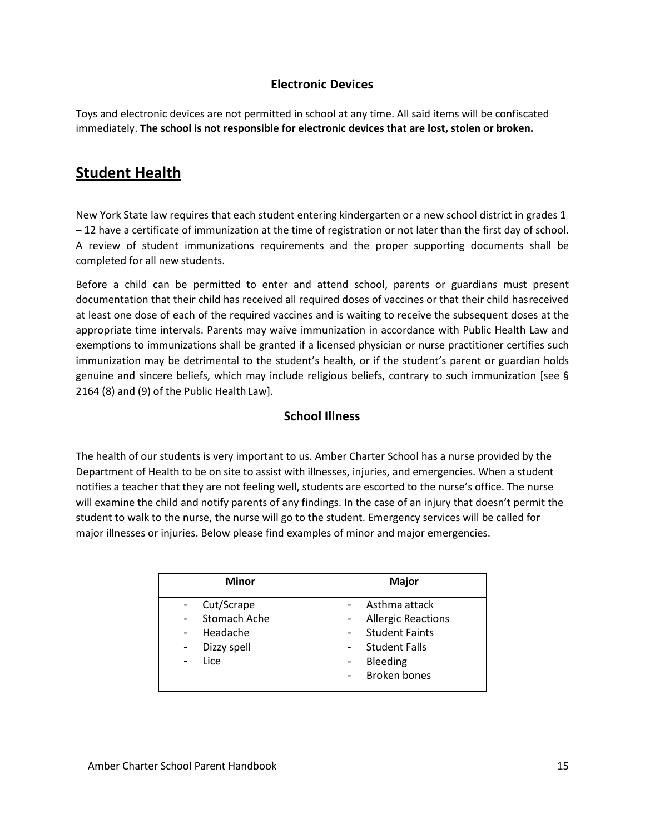### **Electronic Devices**

Toys and electronic devices are not permitted in school at any time. All said items will be confiscated immediately. **The school is not responsible for electronic devices that are lost, stolen or broken.**

## <span id="page-15-0"></span>**Student Health**

New York State law requires that each student entering kindergarten or a new school district in grades 1 – 12 have a certificate of immunization at the time of registration or not later than the first day of school. A review of student immunizations requirements and the proper supporting documents shall be completed for all new students.

Before a child can be permitted to enter and attend school, parents or guardians must present documentation that their child has received all required doses of vaccines or that their child hasreceived at least one dose of each of the required vaccines and is waiting to receive the subsequent doses at the appropriate time intervals. Parents may waive immunization in accordance with Public Health Law and exemptions to immunizations shall be granted if a licensed physician or nurse practitioner certifies such immunization may be detrimental to the student's health, or if the student's parent or guardian holds genuine and sincere beliefs, which may include religious beliefs, contrary to such immunization [see § 2164 (8) and (9) of the Public Health Law].

### **School Illness**

<span id="page-15-1"></span>The health of our students is very important to us. Amber Charter School has a nurse provided by the Department of Health to be on site to assist with illnesses, injuries, and emergencies. When a student notifies a teacher that they are not feeling well, students are escorted to the nurse's office. The nurse will examine the child and notify parents of any findings. In the case of an injury that doesn't permit the student to walk to the nurse, the nurse will go to the student. Emergency services will be called for major illnesses or injuries. Below please find examples of minor and major emergencies.

| <b>Minor</b>                                                         | Major                                                                                                                                                                                          |
|----------------------------------------------------------------------|------------------------------------------------------------------------------------------------------------------------------------------------------------------------------------------------|
| Cut/Scrape<br><b>Stomach Ache</b><br>Headache<br>Dizzy spell<br>Lice | Asthma attack<br><b>Allergic Reactions</b><br><b>Student Faints</b><br><b>Student Falls</b><br>$\overline{\phantom{a}}$<br>Bleeding<br>$\blacksquare$<br><b>Broken bones</b><br>$\blacksquare$ |
|                                                                      |                                                                                                                                                                                                |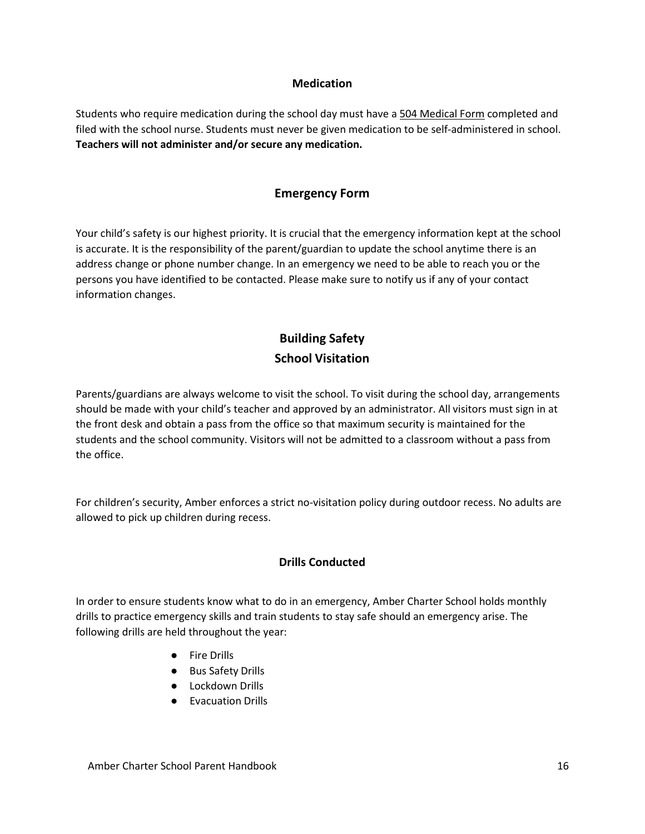#### **Medication**

<span id="page-16-0"></span>Students who require medication during the school day must have a 504 Medical Form completed and filed with the school nurse. Students must never be given medication to be self-administered in school. **Teachers will not administer and/or secure any medication.**

### **Emergency Form**

<span id="page-16-1"></span>Your child's safety is our highest priority. It is crucial that the emergency information kept at the school is accurate. It is the responsibility of the parent/guardian to update the school anytime there is an address change or phone number change. In an emergency we need to be able to reach you or the persons you have identified to be contacted. Please make sure to notify us if any of your contact information changes.

## <span id="page-16-3"></span>**Building Safety School Visitation**

<span id="page-16-2"></span>Parents/guardians are always welcome to visit the school. To visit during the school day, arrangements should be made with your child's teacher and approved by an administrator. All visitors must sign in at the front desk and obtain a pass from the office so that maximum security is maintained for the students and the school community. Visitors will not be admitted to a classroom without a pass from the office.

For children's security, Amber enforces a strict no-visitation policy during outdoor recess. No adults are allowed to pick up children during recess.

### **Drills Conducted**

<span id="page-16-4"></span>In order to ensure students know what to do in an emergency, Amber Charter School holds monthly drills to practice emergency skills and train students to stay safe should an emergency arise. The following drills are held throughout the year:

- Fire Drills
- Bus Safety Drills
- Lockdown Drills
- Evacuation Drills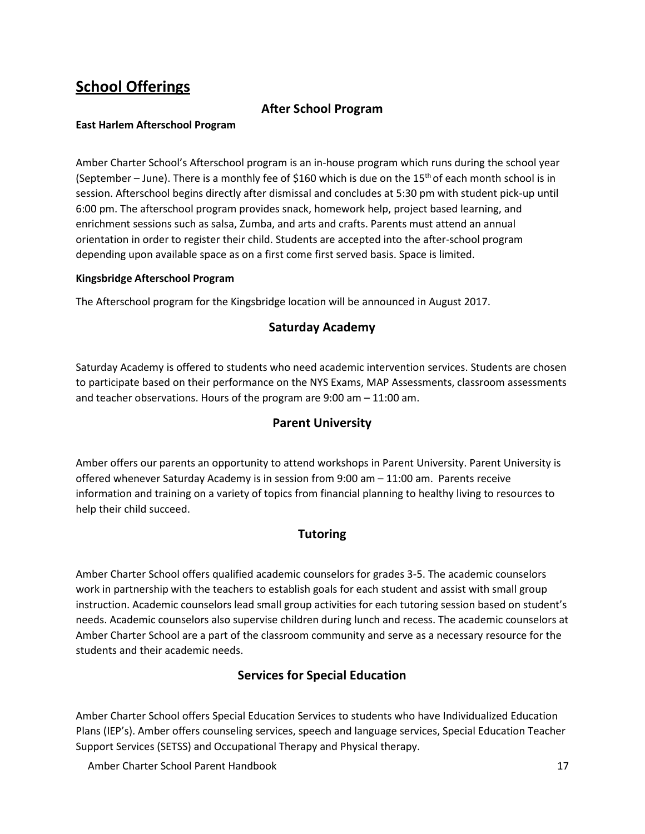## <span id="page-17-0"></span>**School Offerings**

### **After School Program**

#### <span id="page-17-1"></span>**East Harlem Afterschool Program**

Amber Charter School's Afterschool program is an in-house program which runs during the school year (September – June). There is a monthly fee of \$160 which is due on the 15<sup>th</sup> of each month school is in session. Afterschool begins directly after dismissal and concludes at 5:30 pm with student pick-up until 6:00 pm. The afterschool program provides snack, homework help, project based learning, and enrichment sessions such as salsa, Zumba, and arts and crafts. Parents must attend an annual orientation in order to register their child. Students are accepted into the after-school program depending upon available space as on a first come first served basis. Space is limited.

#### **Kingsbridge Afterschool Program**

<span id="page-17-2"></span>The Afterschool program for the Kingsbridge location will be announced in August 2017.

### **Saturday Academy**

<span id="page-17-3"></span>Saturday Academy is offered to students who need academic intervention services. Students are chosen to participate based on their performance on the NYS Exams, MAP Assessments, classroom assessments and teacher observations. Hours of the program are 9:00 am – 11:00 am.

### **Parent University**

Amber offers our parents an opportunity to attend workshops in Parent University. Parent University is offered whenever Saturday Academy is in session from 9:00 am – 11:00 am. Parents receive information and training on a variety of topics from financial planning to healthy living to resources to help their child succeed.

### **Tutoring**

<span id="page-17-4"></span>Amber Charter School offers qualified academic counselors for grades 3-5. The academic counselors work in partnership with the teachers to establish goals for each student and assist with small group instruction. Academic counselors lead small group activities for each tutoring session based on student's needs. Academic counselors also supervise children during lunch and recess. The academic counselors at Amber Charter School are a part of the classroom community and serve as a necessary resource for the students and their academic needs.

### **Services for Special Education**

<span id="page-17-5"></span>Amber Charter School offers Special Education Services to students who have Individualized Education Plans (IEP's). Amber offers counseling services, speech and language services, Special Education Teacher Support Services (SETSS) and Occupational Therapy and Physical therapy.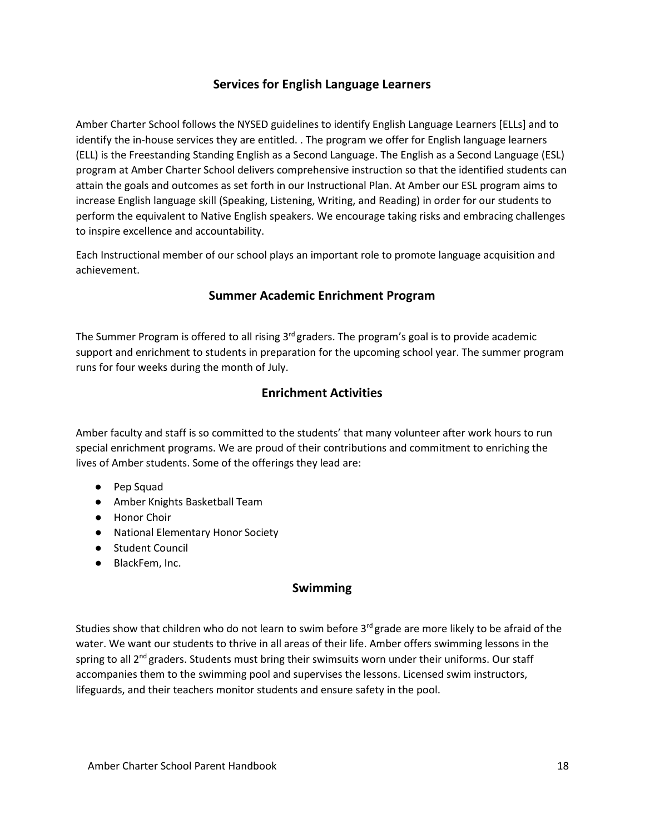### **Services for English Language Learners**

<span id="page-18-0"></span>Amber Charter School follows the NYSED guidelines to identify English Language Learners [ELLs] and to identify the in-house services they are entitled. . The program we offer for English language learners (ELL) is the Freestanding Standing English as a Second Language. The English as a Second Language (ESL) program at Amber Charter School delivers comprehensive instruction so that the identified students can attain the goals and outcomes as set forth in our Instructional Plan. At Amber our ESL program aims to increase English language skill (Speaking, Listening, Writing, and Reading) in order for our students to perform the equivalent to Native English speakers. We encourage taking risks and embracing challenges to inspire excellence and accountability.

<span id="page-18-1"></span>Each Instructional member of our school plays an important role to promote language acquisition and achievement.

### **Summer Academic Enrichment Program**

<span id="page-18-2"></span>The Summer Program is offered to all rising  $3<sup>rd</sup>$  graders. The program's goal is to provide academic support and enrichment to students in preparation for the upcoming school year. The summer program runs for four weeks during the month of July.

### **Enrichment Activities**

Amber faculty and staff is so committed to the students' that many volunteer after work hours to run special enrichment programs. We are proud of their contributions and commitment to enriching the lives of Amber students. Some of the offerings they lead are:

- Pep Squad
- Amber Knights Basketball Team
- Honor Choir
- National Elementary Honor Society
- Student Council
- <span id="page-18-3"></span>● BlackFem, Inc.

#### **Swimming**

Studies show that children who do not learn to swim before  $3<sup>rd</sup>$  grade are more likely to be afraid of the water. We want our students to thrive in all areas of their life. Amber offers swimming lessons in the spring to all 2<sup>nd</sup> graders. Students must bring their swimsuits worn under their uniforms. Our staff accompanies them to the swimming pool and supervises the lessons. Licensed swim instructors, lifeguards, and their teachers monitor students and ensure safety in the pool.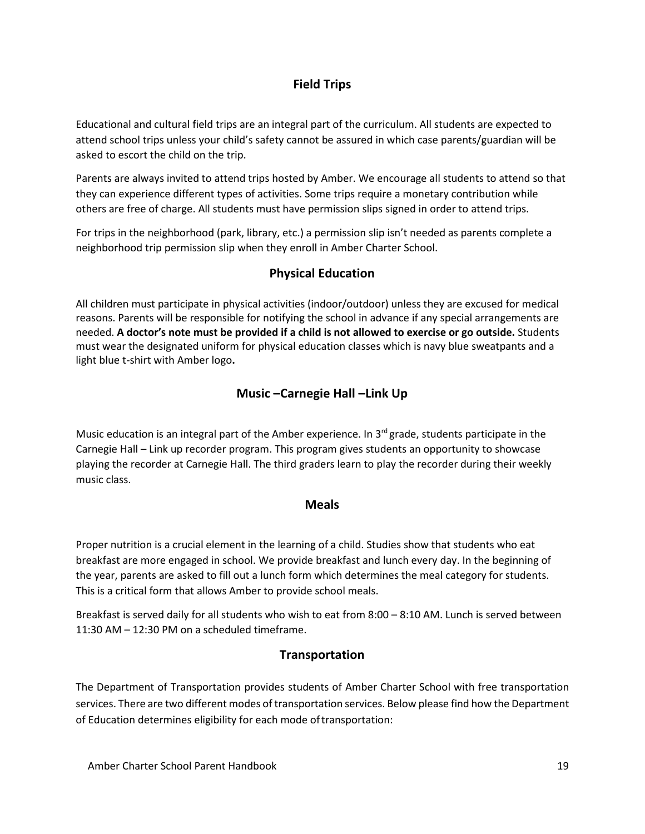### **Field Trips**

<span id="page-19-0"></span>Educational and cultural field trips are an integral part of the curriculum. All students are expected to attend school trips unless your child's safety cannot be assured in which case parents/guardian will be asked to escort the child on the trip.

Parents are always invited to attend trips hosted by Amber. We encourage all students to attend so that they can experience different types of activities. Some trips require a monetary contribution while others are free of charge. All students must have permission slips signed in order to attend trips.

<span id="page-19-1"></span>For trips in the neighborhood (park, library, etc.) a permission slip isn't needed as parents complete a neighborhood trip permission slip when they enroll in Amber Charter School.

### **Physical Education**

All children must participate in physical activities (indoor/outdoor) unless they are excused for medical reasons. Parents will be responsible for notifying the school in advance if any special arrangements are needed. **A doctor's note must be provided if a child is not allowed to exercise or go outside.** Students must wear the designated uniform for physical education classes which is navy blue sweatpants and a light blue t-shirt with Amber logo**.**

### **Music –Carnegie Hall –Link Up**

<span id="page-19-2"></span>Music education is an integral part of the Amber experience. In 3<sup>rd</sup> grade, students participate in the Carnegie Hall – Link up recorder program. This program gives students an opportunity to showcase playing the recorder at Carnegie Hall. The third graders learn to play the recorder during their weekly music class.

#### **Meals**

<span id="page-19-3"></span>Proper nutrition is a crucial element in the learning of a child. Studies show that students who eat breakfast are more engaged in school. We provide breakfast and lunch every day. In the beginning of the year, parents are asked to fill out a lunch form which determines the meal category for students. This is a critical form that allows Amber to provide school meals.

<span id="page-19-4"></span>Breakfast is served daily for all students who wish to eat from 8:00 – 8:10 AM. Lunch is served between 11:30 AM – 12:30 PM on a scheduled timeframe.

### **Transportation**

The Department of Transportation provides students of Amber Charter School with free transportation services. There are two different modes of transportation services. Below please find how the Department of Education determines eligibility for each mode oftransportation: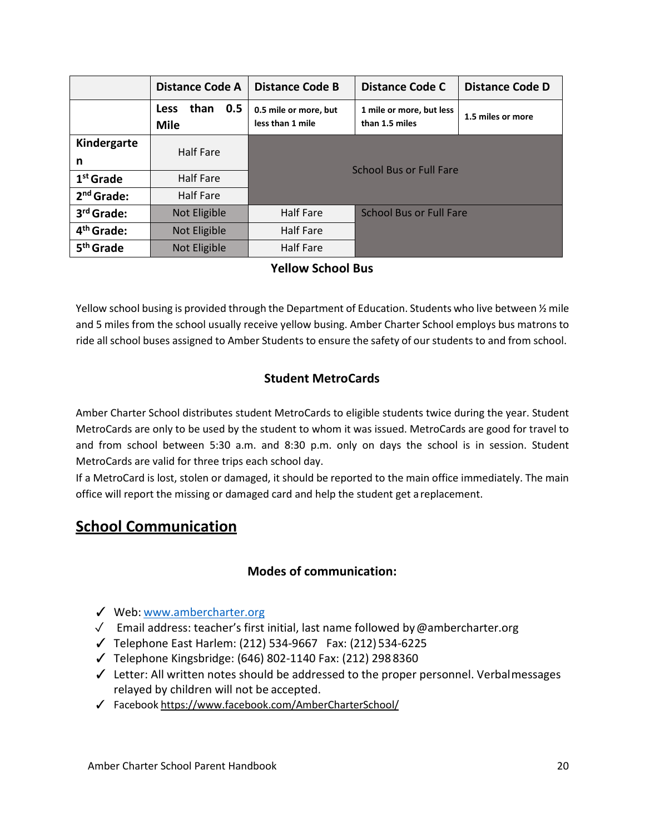|                        | <b>Distance Code A</b>                    | <b>Distance Code B</b><br><b>Distance Code C</b>   |                                            | <b>Distance Code D</b> |
|------------------------|-------------------------------------------|----------------------------------------------------|--------------------------------------------|------------------------|
|                        | 0.5<br>than<br><b>Less</b><br><b>Mile</b> | 0.5 mile or more, but<br>less than 1 mile          | 1 mile or more, but less<br>than 1.5 miles | 1.5 miles or more      |
| Kindergarte            | Half Fare                                 |                                                    |                                            |                        |
| n                      |                                           |                                                    | <b>School Bus or Full Fare</b>             |                        |
| $1st$ Grade            | <b>Half Fare</b>                          |                                                    |                                            |                        |
| $2nd$ Grade:           | Half Fare                                 |                                                    |                                            |                        |
| 3 <sup>rd</sup> Grade: | Not Eligible                              | <b>School Bus or Full Fare</b><br><b>Half Fare</b> |                                            |                        |
| 4 <sup>th</sup> Grade: | Not Eligible                              | <b>Half Fare</b>                                   |                                            |                        |
| 5 <sup>th</sup> Grade  | Not Eligible                              | <b>Half Fare</b>                                   |                                            |                        |

### **Yellow School Bus**

<span id="page-20-0"></span>Yellow school busing is provided through the Department of Education. Students who live between ½ mile and 5 miles from the school usually receive yellow busing. Amber Charter School employs bus matrons to ride all school buses assigned to Amber Students to ensure the safety of our students to and from school.

### **Student MetroCards**

<span id="page-20-1"></span>Amber Charter School distributes student MetroCards to eligible students twice during the year. Student MetroCards are only to be used by the student to whom it was issued. MetroCards are good for travel to and from school between 5:30 a.m. and 8:30 p.m. only on days the school is in session. Student MetroCards are valid for three trips each school day.

If a MetroCard is lost, stolen or damaged, it should be reported to the main office immediately. The main office will report the missing or damaged card and help the student get areplacement.

## <span id="page-20-3"></span><span id="page-20-2"></span>**School Communication**

### **Modes of communication:**

- ✓ Web: [www.ambercharter.org](http://www.ambercharter.org/)
- ✓ Email address: teacher's first initial, last name followed by@ambercharter.org
- ✓ Telephone East Harlem: (212) 534-9667 Fax: (212) 534-6225
- ✓ Telephone Kingsbridge: (646) 802-1140 Fax: (212) 298 8360
- ✓ Letter: All written notes should be addressed to the proper personnel. Verbalmessages relayed by children will not be accepted.
- ✓ Facebook <https://www.facebook.com/AmberCharterSchool/>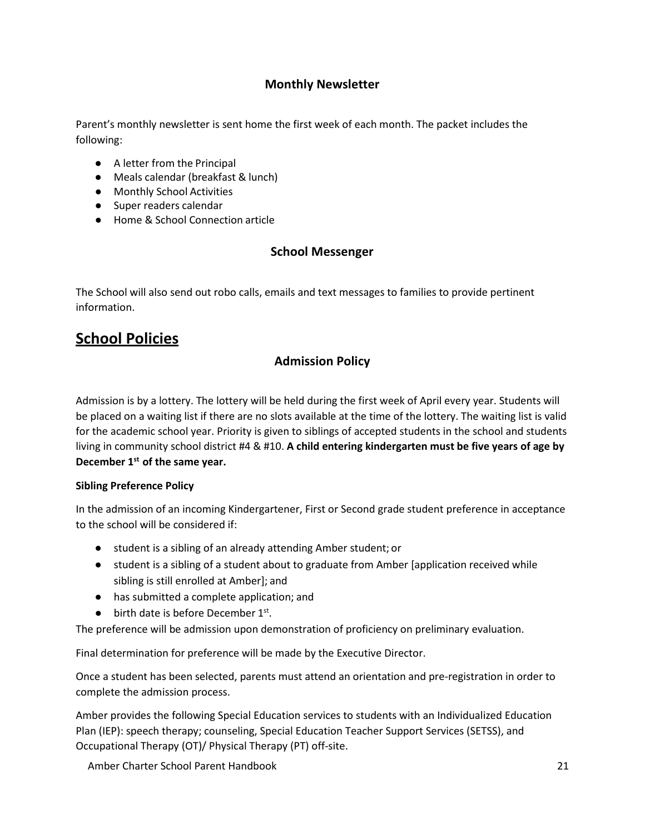### **Monthly Newsletter**

<span id="page-21-0"></span>Parent's monthly newsletter is sent home the first week of each month. The packet includes the following:

- A letter from the Principal
- Meals calendar (breakfast & lunch)
- Monthly School Activities
- Super readers calendar
- <span id="page-21-1"></span>● Home & School Connection article

### **School Messenger**

The School will also send out robo calls, emails and text messages to families to provide pertinent information.

## <span id="page-21-2"></span>**School Policies**

### <span id="page-21-3"></span>**Admission Policy**

Admission is by a lottery. The lottery will be held during the first week of April every year. Students will be placed on a waiting list if there are no slots available at the time of the lottery. The waiting list is valid for the academic school year. Priority is given to siblings of accepted students in the school and students living in community school district #4 & #10. **A child entering kindergarten must be five years of age by December 1st of the same year.**

#### **Sibling Preference Policy**

In the admission of an incoming Kindergartener, First or Second grade student preference in acceptance to the school will be considered if:

- student is a sibling of an already attending Amber student; or
- student is a sibling of a student about to graduate from Amber [application received while sibling is still enrolled at Amber]; and
- has submitted a complete application; and
- $\bullet$  birth date is before December 1st.

The preference will be admission upon demonstration of proficiency on preliminary evaluation.

Final determination for preference will be made by the Executive Director.

Once a student has been selected, parents must attend an orientation and pre-registration in order to complete the admission process.

Amber provides the following Special Education services to students with an Individualized Education Plan (IEP): speech therapy; counseling, Special Education Teacher Support Services (SETSS), and Occupational Therapy (OT)/ Physical Therapy (PT) off-site.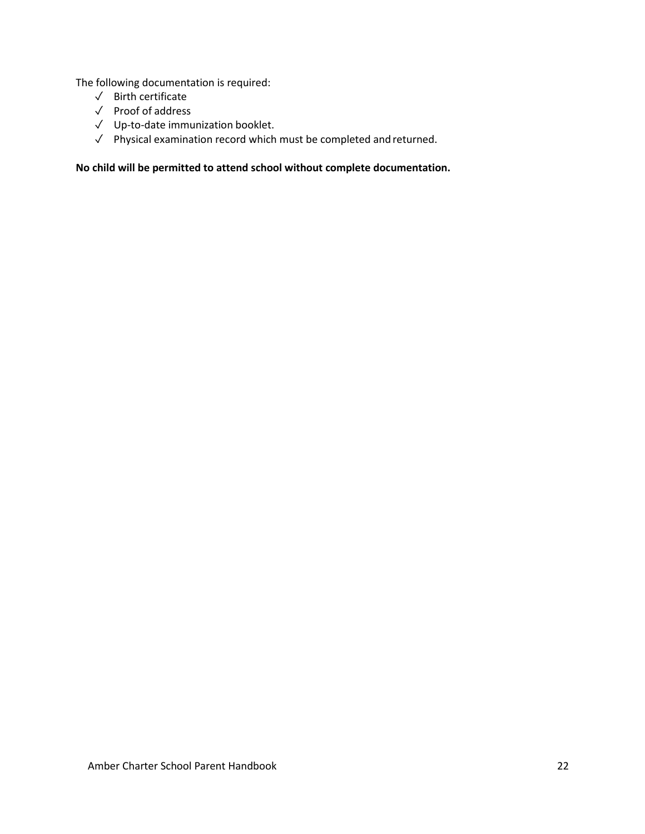The following documentation is required:

- ✓ Birth certificate
- ✓ Proof of address
- ✓ Up-to-date immunization booklet.
- ✓ Physical examination record which must be completed andreturned.

**No child will be permitted to attend school without complete documentation.**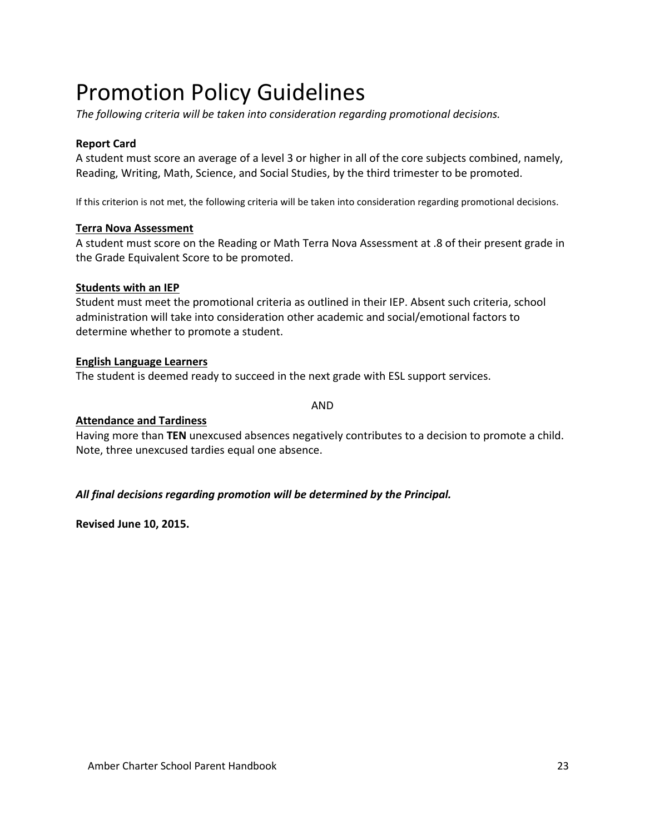# Promotion Policy Guidelines

*The following criteria will be taken into consideration regarding promotional decisions.*

#### **Report Card**

A student must score an average of a level 3 or higher in all of the core subjects combined, namely, Reading, Writing, Math, Science, and Social Studies, by the third trimester to be promoted.

If this criterion is not met, the following criteria will be taken into consideration regarding promotional decisions.

#### **Terra Nova Assessment**

A student must score on the Reading or Math Terra Nova Assessment at .8 of their present grade in the Grade Equivalent Score to be promoted.

#### **Students with an IEP**

Student must meet the promotional criteria as outlined in their IEP. Absent such criteria, school administration will take into consideration other academic and social/emotional factors to determine whether to promote a student.

#### **English Language Learners**

The student is deemed ready to succeed in the next grade with ESL support services.

AND

#### **Attendance and Tardiness**

Having more than **TEN** unexcused absences negatively contributes to a decision to promote a child. Note, three unexcused tardies equal one absence.

#### *All final decisions regarding promotion will be determined by the Principal.*

**Revised June 10, 2015.**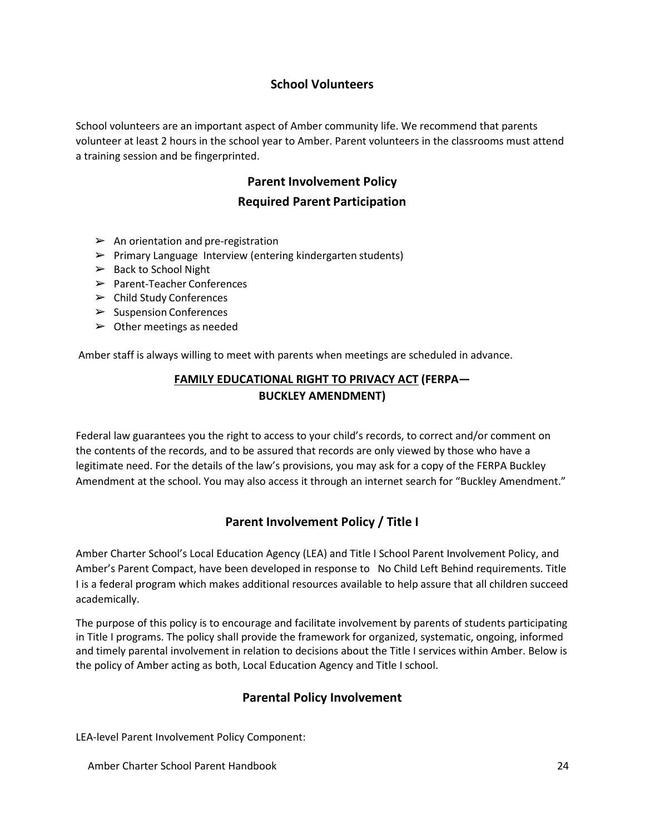### **School Volunteers**

<span id="page-24-1"></span><span id="page-24-0"></span>School volunteers are an important aspect of Amber community life. We recommend that parents volunteer at least 2 hours in the school year to Amber. Parent volunteers in the classrooms must attend a training session and be fingerprinted.

### <span id="page-24-2"></span>**Parent Involvement Policy**

### **Required Parent Participation**

- $\triangleright$  An orientation and pre-registration
- $\triangleright$  Primary Language Interview (entering kindergarten students)
- $\triangleright$  Back to School Night
- ➢ Parent-Teacher Conferences
- ➢ Child Study Conferences
- ➢ Suspension Conferences
- $\triangleright$  Other meetings as needed

<span id="page-24-3"></span>Amber staff is always willing to meet with parents when meetings are scheduled in advance.

### **FAMILY EDUCATIONAL RIGHT TO PRIVACY ACT (FERPA— BUCKLEY AMENDMENT)**

Federal law guarantees you the right to access to your child's records, to correct and/or comment on the contents of the records, and to be assured that records are only viewed by those who have a legitimate need. For the details of the law's provisions, you may ask for a copy of the FERPA Buckley Amendment at the school. You may also access it through an internet search for "Buckley Amendment."

### **Parent Involvement Policy / Title I**

<span id="page-24-4"></span>Amber Charter School's Local Education Agency (LEA) and Title I School Parent Involvement Policy, and Amber's Parent Compact, have been developed in response to No Child Left Behind requirements. Title I is a federal program which makes additional resources available to help assure that all children succeed academically.

The purpose of this policy is to encourage and facilitate involvement by parents of students participating in Title I programs. The policy shall provide the framework for organized, systematic, ongoing, informed and timely parental involvement in relation to decisions about the Title I services within Amber. Below is the policy of Amber acting as both, Local Education Agency and Title I school.

### **Parental Policy Involvement**

<span id="page-24-5"></span>LEA-level Parent Involvement Policy Component: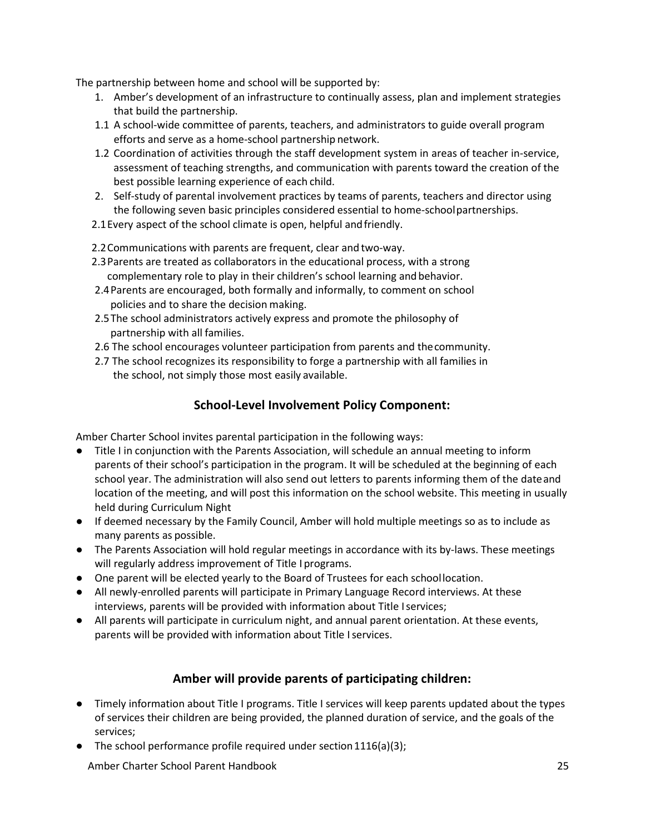The partnership between home and school will be supported by:

- 1. Amber's development of an infrastructure to continually assess, plan and implement strategies that build the partnership.
- 1.1 A school-wide committee of parents, teachers, and administrators to guide overall program efforts and serve as a home-school partnership network.
- 1.2 Coordination of activities through the staff development system in areas of teacher in-service, assessment of teaching strengths, and communication with parents toward the creation of the best possible learning experience of each child.
- 2. Self-study of parental involvement practices by teams of parents, teachers and director using the following seven basic principles considered essential to home-schoolpartnerships.
- 2.1Every aspect of the school climate is open, helpful andfriendly.

2.2Communications with parents are frequent, clear and two-way.

- 2.3Parents are treated as collaborators in the educational process, with a strong complementary role to play in their children's school learning andbehavior.
- 2.4Parents are encouraged, both formally and informally, to comment on school policies and to share the decision making.
- 2.5The school administrators actively express and promote the philosophy of partnership with all families.
- 2.6 The school encourages volunteer participation from parents and thecommunity.
- 2.7 The school recognizes its responsibility to forge a partnership with all families in the school, not simply those most easily available.

### **School-Level Involvement Policy Component:**

Amber Charter School invites parental participation in the following ways:

- Title I in conjunction with the Parents Association, will schedule an annual meeting to inform parents of their school's participation in the program. It will be scheduled at the beginning of each school year. The administration will also send out letters to parents informing them of the dateand location of the meeting, and will post this information on the school website. This meeting in usually held during Curriculum Night
- If deemed necessary by the Family Council, Amber will hold multiple meetings so as to include as many parents as possible.
- The Parents Association will hold regular meetings in accordance with its by-laws. These meetings will regularly address improvement of Title I programs.
- One parent will be elected yearly to the Board of Trustees for each schoollocation.
- All newly-enrolled parents will participate in Primary Language Record interviews. At these interviews, parents will be provided with information about Title Iservices;
- All parents will participate in curriculum night, and annual parent orientation. At these events, parents will be provided with information about Title Iservices.

#### **Amber will provide parents of participating children:**

- Timely information about Title I programs. Title I services will keep parents updated about the types of services their children are being provided, the planned duration of service, and the goals of the services;
- $\bullet$  The school performance profile required under section 1116(a)(3);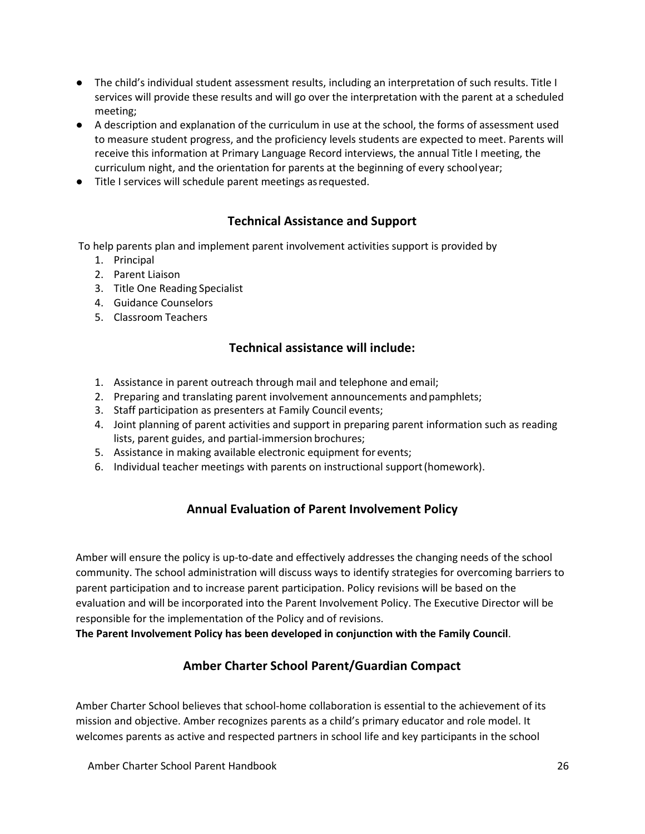- The child's individual student assessment results, including an interpretation of such results. Title I services will provide these results and will go over the interpretation with the parent at a scheduled meeting;
- A description and explanation of the curriculum in use at the school, the forms of assessment used to measure student progress, and the proficiency levels students are expected to meet. Parents will receive this information at Primary Language Record interviews, the annual Title I meeting, the curriculum night, and the orientation for parents at the beginning of every schoolyear;
- Title I services will schedule parent meetings asrequested.

### **Technical Assistance and Support**

To help parents plan and implement parent involvement activities support is provided by

- 1. Principal
- 2. Parent Liaison
- 3. Title One Reading Specialist
- 4. Guidance Counselors
- 5. Classroom Teachers

### **Technical assistance will include:**

- 1. Assistance in parent outreach through mail and telephone and email;
- 2. Preparing and translating parent involvement announcements andpamphlets;
- 3. Staff participation as presenters at Family Council events;
- 4. Joint planning of parent activities and support in preparing parent information such as reading lists, parent guides, and partial-immersion brochures;
- 5. Assistance in making available electronic equipment for events;
- 6. Individual teacher meetings with parents on instructional support(homework).

### **Annual Evaluation of Parent Involvement Policy**

Amber will ensure the policy is up-to-date and effectively addresses the changing needs of the school community. The school administration will discuss ways to identify strategies for overcoming barriers to parent participation and to increase parent participation. Policy revisions will be based on the evaluation and will be incorporated into the Parent Involvement Policy. The Executive Director will be responsible for the implementation of the Policy and of revisions.

**The Parent Involvement Policy has been developed in conjunction with the Family Council**.

### **Amber Charter School Parent/Guardian Compact**

Amber Charter School believes that school-home collaboration is essential to the achievement of its mission and objective. Amber recognizes parents as a child's primary educator and role model. It welcomes parents as active and respected partners in school life and key participants in the school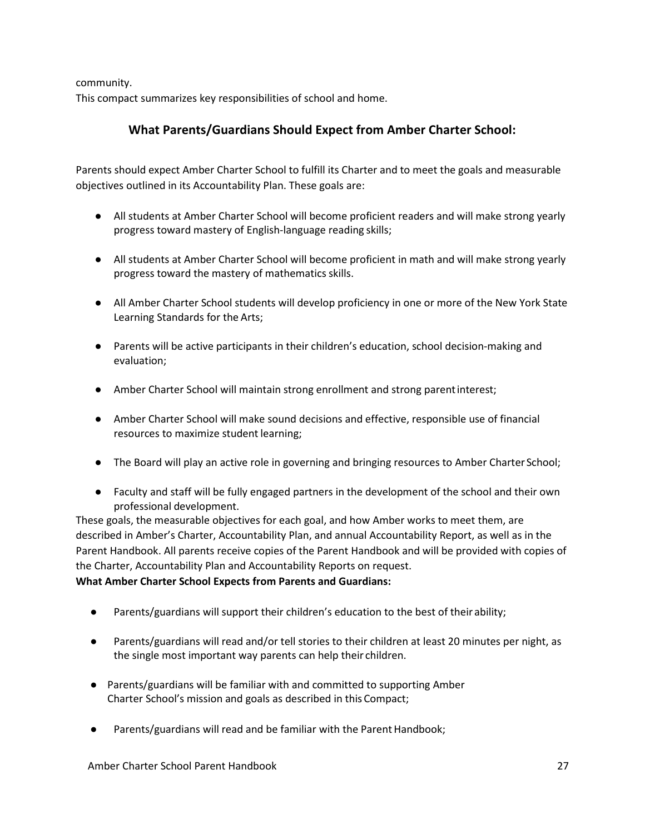community.

This compact summarizes key responsibilities of school and home.

### **What Parents/Guardians Should Expect from Amber Charter School:**

Parents should expect Amber Charter School to fulfill its Charter and to meet the goals and measurable objectives outlined in its Accountability Plan. These goals are:

- All students at Amber Charter School will become proficient readers and will make strong yearly progress toward mastery of English-language reading skills;
- All students at Amber Charter School will become proficient in math and will make strong yearly progress toward the mastery of mathematics skills.
- All Amber Charter School students will develop proficiency in one or more of the New York State Learning Standards for the Arts;
- Parents will be active participants in their children's education, school decision-making and evaluation;
- Amber Charter School will maintain strong enrollment and strong parentinterest;
- Amber Charter School will make sound decisions and effective, responsible use of financial resources to maximize student learning;
- The Board will play an active role in governing and bringing resources to Amber Charter School;
- Faculty and staff will be fully engaged partners in the development of the school and their own professional development.

These goals, the measurable objectives for each goal, and how Amber works to meet them, are described in Amber's Charter, Accountability Plan, and annual Accountability Report, as well as in the Parent Handbook. All parents receive copies of the Parent Handbook and will be provided with copies of the Charter, Accountability Plan and Accountability Reports on request.

#### **What Amber Charter School Expects from Parents and Guardians:**

- Parents/guardians will support their children's education to the best of their ability;
- Parents/guardians will read and/or tell stories to their children at least 20 minutes per night, as the single most important way parents can help their children.
- Parents/guardians will be familiar with and committed to supporting Amber Charter School's mission and goals as described in this Compact;
- Parents/guardians will read and be familiar with the Parent Handbook;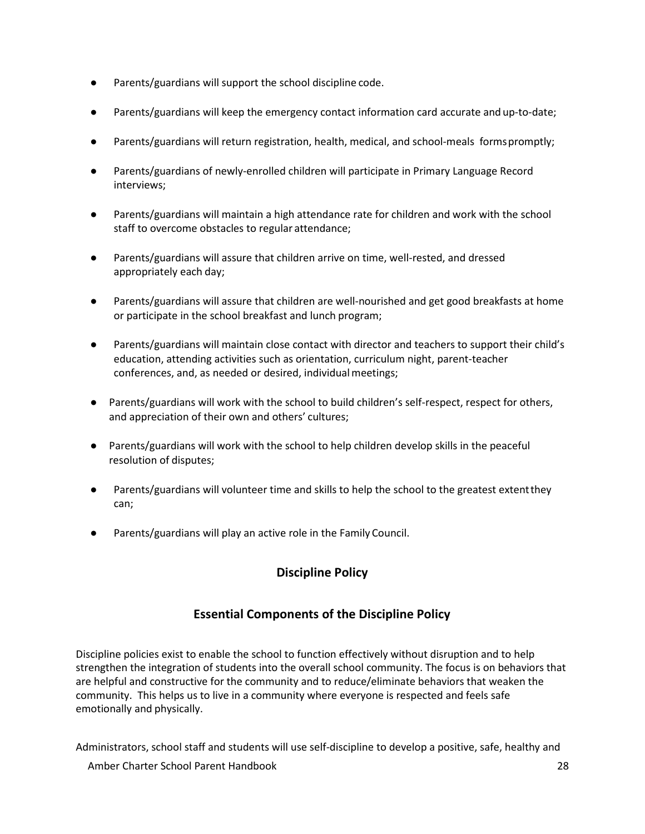- Parents/guardians will support the school discipline code.
- Parents/guardians will keep the emergency contact information card accurate and up-to-date;
- Parents/guardians will return registration, health, medical, and school-meals forms promptly;
- Parents/guardians of newly-enrolled children will participate in Primary Language Record interviews;
- Parents/guardians will maintain a high attendance rate for children and work with the school staff to overcome obstacles to regular attendance;
- Parents/guardians will assure that children arrive on time, well-rested, and dressed appropriately each day;
- Parents/guardians will assure that children are well-nourished and get good breakfasts at home or participate in the school breakfast and lunch program;
- Parents/guardians will maintain close contact with director and teachers to support their child's education, attending activities such as orientation, curriculum night, parent-teacher conferences, and, as needed or desired, individual meetings;
- Parents/guardians will work with the school to build children's self-respect, respect for others, and appreciation of their own and others' cultures;
- Parents/guardians will work with the school to help children develop skills in the peaceful resolution of disputes;
- Parents/guardians will volunteer time and skills to help the school to the greatest extent they can;
- <span id="page-28-0"></span>Parents/guardians will play an active role in the Family Council.

### **Discipline Policy**

### **Essential Components of the Discipline Policy**

<span id="page-28-1"></span>Discipline policies exist to enable the school to function effectively without disruption and to help strengthen the integration of students into the overall school community. The focus is on behaviors that are helpful and constructive for the community and to reduce/eliminate behaviors that weaken the community. This helps us to live in a community where everyone is respected and feels safe emotionally and physically.

Administrators, school staff and students will use self-discipline to develop a positive, safe, healthy and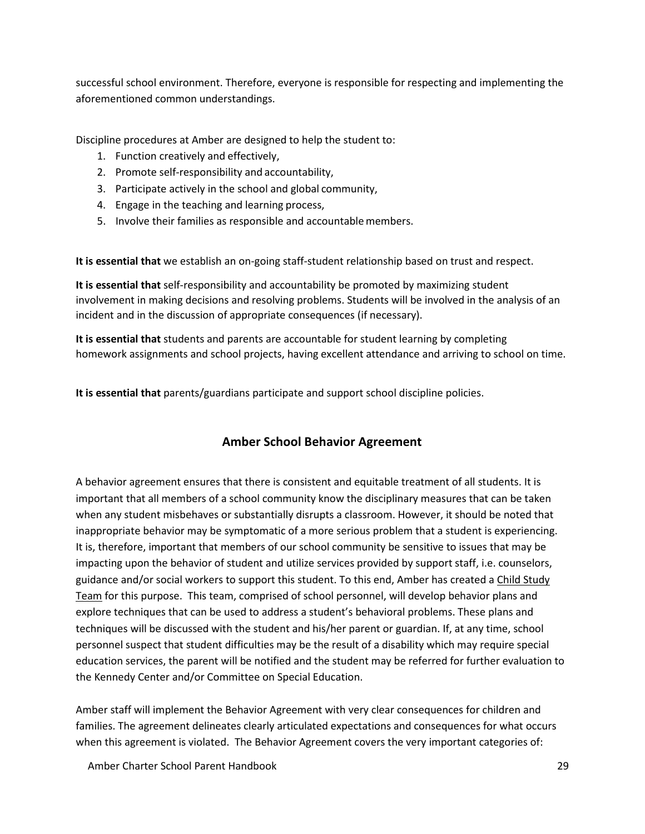successful school environment. Therefore, everyone is responsible for respecting and implementing the aforementioned common understandings.

Discipline procedures at Amber are designed to help the student to:

- 1. Function creatively and effectively,
- 2. Promote self-responsibility and accountability,
- 3. Participate actively in the school and global community,
- 4. Engage in the teaching and learning process,
- 5. Involve their families as responsible and accountablemembers.

**It is essential that** we establish an on-going staff-student relationship based on trust and respect.

**It is essential that** self-responsibility and accountability be promoted by maximizing student involvement in making decisions and resolving problems. Students will be involved in the analysis of an incident and in the discussion of appropriate consequences (if necessary).

**It is essential that** students and parents are accountable for student learning by completing homework assignments and school projects, having excellent attendance and arriving to school on time.

**It is essential that** parents/guardians participate and support school discipline policies.

### **Amber School Behavior Agreement**

<span id="page-29-0"></span>A behavior agreement ensures that there is consistent and equitable treatment of all students. It is important that all members of a school community know the disciplinary measures that can be taken when any student misbehaves or substantially disrupts a classroom. However, it should be noted that inappropriate behavior may be symptomatic of a more serious problem that a student is experiencing. It is, therefore, important that members of our school community be sensitive to issues that may be impacting upon the behavior of student and utilize services provided by support staff, i.e. counselors, guidance and/or social workers to support this student. To this end, Amber has created a Child Study Team for this purpose. This team, comprised of school personnel, will develop behavior plans and explore techniques that can be used to address a student's behavioral problems. These plans and techniques will be discussed with the student and his/her parent or guardian. If, at any time, school personnel suspect that student difficulties may be the result of a disability which may require special education services, the parent will be notified and the student may be referred for further evaluation to the Kennedy Center and/or Committee on Special Education.

Amber staff will implement the Behavior Agreement with very clear consequences for children and families. The agreement delineates clearly articulated expectations and consequences for what occurs when this agreement is violated. The Behavior Agreement covers the very important categories of: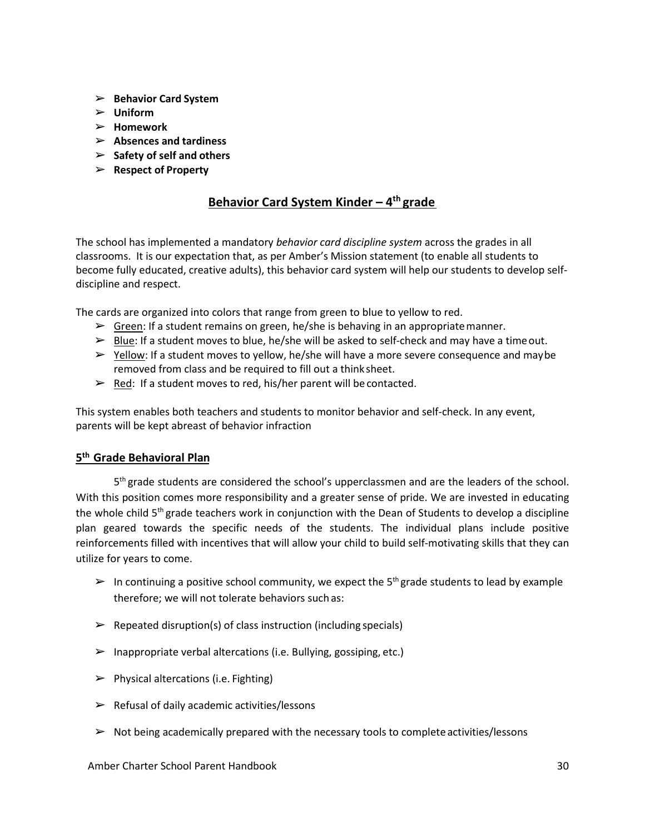- ➢ **Behavior Card System**
- ➢ **Uniform**
- ➢ **Homework**
- ➢ **Absences and tardiness**
- ➢ **Safety of self and others**
- ➢ **Respect of Property**

### <span id="page-30-0"></span>**Behavior Card System Kinder – 4th grade**

The school has implemented a mandatory *behavior card discipline system* across the grades in all classrooms. It is our expectation that, as per Amber's Mission statement (to enable all students to become fully educated, creative adults), this behavior card system will help our students to develop selfdiscipline and respect.

The cards are organized into colors that range from green to blue to yellow to red.

- $\triangleright$  Green: If a student remains on green, he/she is behaving in an appropriate manner.
- $\triangleright$  Blue: If a student moves to blue, he/she will be asked to self-check and may have a time out.
- $\triangleright$  Yellow: If a student moves to yellow, he/she will have a more severe consequence and maybe removed from class and be required to fill out a think sheet.
- $\triangleright$  Red: If a student moves to red, his/her parent will be contacted.

This system enables both teachers and students to monitor behavior and self-check. In any event, parents will be kept abreast of behavior infraction

#### **5th Grade Behavioral Plan**

 $5<sup>th</sup>$  grade students are considered the school's upperclassmen and are the leaders of the school. With this position comes more responsibility and a greater sense of pride. We are invested in educating the whole child  $5<sup>th</sup>$  grade teachers work in conjunction with the Dean of Students to develop a discipline plan geared towards the specific needs of the students. The individual plans include positive reinforcements filled with incentives that will allow your child to build self-motivating skills that they can utilize for years to come.

- $\triangleright$  In continuing a positive school community, we expect the 5<sup>th</sup> grade students to lead by example therefore; we will not tolerate behaviors such as:
- $\triangleright$  Repeated disruption(s) of class instruction (including specials)
- $\triangleright$  Inappropriate verbal altercations (i.e. Bullying, gossiping, etc.)
- $\triangleright$  Physical altercations (i.e. Fighting)
- $\triangleright$  Refusal of daily academic activities/lessons
- $\triangleright$  Not being academically prepared with the necessary tools to complete activities/lessons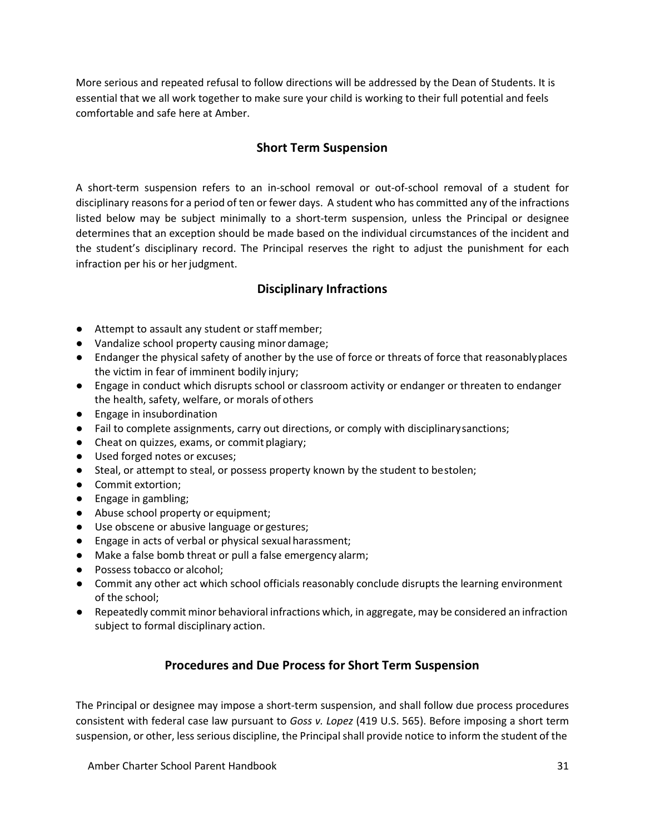More serious and repeated refusal to follow directions will be addressed by the Dean of Students. It is essential that we all work together to make sure your child is working to their full potential and feels comfortable and safe here at Amber.

### **Short Term Suspension**

<span id="page-31-0"></span>A short-term suspension refers to an in-school removal or out-of-school removal of a student for disciplinary reasonsfor a period of ten or fewer days. A student who has committed any of the infractions listed below may be subject minimally to a short-term suspension, unless the Principal or designee determines that an exception should be made based on the individual circumstances of the incident and the student's disciplinary record. The Principal reserves the right to adjust the punishment for each infraction per his or her judgment.

### **Disciplinary Infractions**

- <span id="page-31-1"></span>● Attempt to assault any student or staffmember;
- Vandalize school property causing minor damage;
- Endanger the physical safety of another by the use of force or threats of force that reasonablyplaces the victim in fear of imminent bodily injury;
- Engage in conduct which disrupts school or classroom activity or endanger or threaten to endanger the health, safety, welfare, or morals of others
- Engage in insubordination
- Fail to complete assignments, carry out directions, or comply with disciplinarysanctions;
- Cheat on quizzes, exams, or commit plagiary;
- Used forged notes or excuses;
- Steal, or attempt to steal, or possess property known by the student to bestolen;
- Commit extortion;
- Engage in gambling;
- Abuse school property or equipment;
- Use obscene or abusive language or gestures;
- Engage in acts of verbal or physical sexual harassment;
- Make a false bomb threat or pull a false emergency alarm;
- Possess tobacco or alcohol:
- Commit any other act which school officials reasonably conclude disrupts the learning environment of the school;
- <span id="page-31-2"></span>● Repeatedly commit minor behavioral infractions which, in aggregate, may be considered an infraction subject to formal disciplinary action.

### **Procedures and Due Process for Short Term Suspension**

The Principal or designee may impose a short-term suspension, and shall follow due process procedures consistent with federal case law pursuant to *Goss v. Lopez* (419 U.S. 565). Before imposing a short term suspension, or other, less serious discipline, the Principalshall provide notice to inform the student of the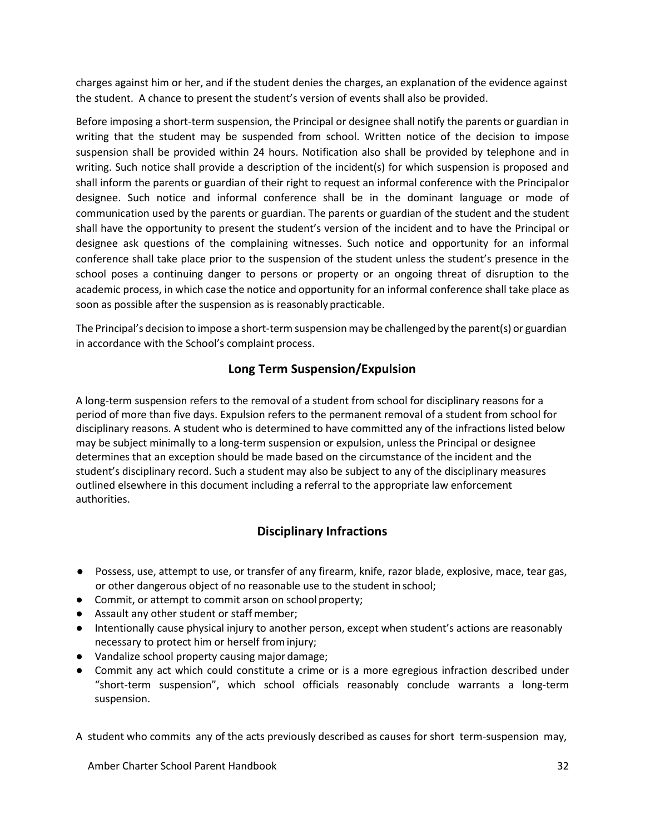charges against him or her, and if the student denies the charges, an explanation of the evidence against the student. A chance to present the student's version of events shall also be provided.

Before imposing a short-term suspension, the Principal or designee shall notify the parents or guardian in writing that the student may be suspended from school. Written notice of the decision to impose suspension shall be provided within 24 hours. Notification also shall be provided by telephone and in writing. Such notice shall provide a description of the incident(s) for which suspension is proposed and shall inform the parents or guardian of their right to request an informal conference with the Principalor designee. Such notice and informal conference shall be in the dominant language or mode of communication used by the parents or guardian. The parents or guardian of the student and the student shall have the opportunity to present the student's version of the incident and to have the Principal or designee ask questions of the complaining witnesses. Such notice and opportunity for an informal conference shall take place prior to the suspension of the student unless the student's presence in the school poses a continuing danger to persons or property or an ongoing threat of disruption to the academic process, in which case the notice and opportunity for an informal conference shall take place as soon as possible after the suspension as is reasonably practicable.

The Principal's decision to impose a short-term suspensionmay be challenged by the parent(s) or guardian in accordance with the School's complaint process.

### **Long Term Suspension/Expulsion**

A long-term suspension refers to the removal of a student from school for disciplinary reasons for a period of more than five days. Expulsion refers to the permanent removal of a student from school for disciplinary reasons. A student who is determined to have committed any of the infractions listed below may be subject minimally to a long-term suspension or expulsion, unless the Principal or designee determines that an exception should be made based on the circumstance of the incident and the student's disciplinary record. Such a student may also be subject to any of the disciplinary measures outlined elsewhere in this document including a referral to the appropriate law enforcement authorities.

### **Disciplinary Infractions**

- <span id="page-32-0"></span>● Possess, use, attempt to use, or transfer of any firearm, knife, razor blade, explosive, mace, tear gas, or other dangerous object of no reasonable use to the student in school;
- Commit, or attempt to commit arson on school property;
- Assault any other student or staff member;
- Intentionally cause physical injury to another person, except when student's actions are reasonably necessary to protect him or herself frominjury;
- Vandalize school property causing major damage;
- Commit any act which could constitute a crime or is a more egregious infraction described under "short-term suspension", which school officials reasonably conclude warrants a long-term suspension.

A student who commits any of the acts previously described as causes for short term-suspension may,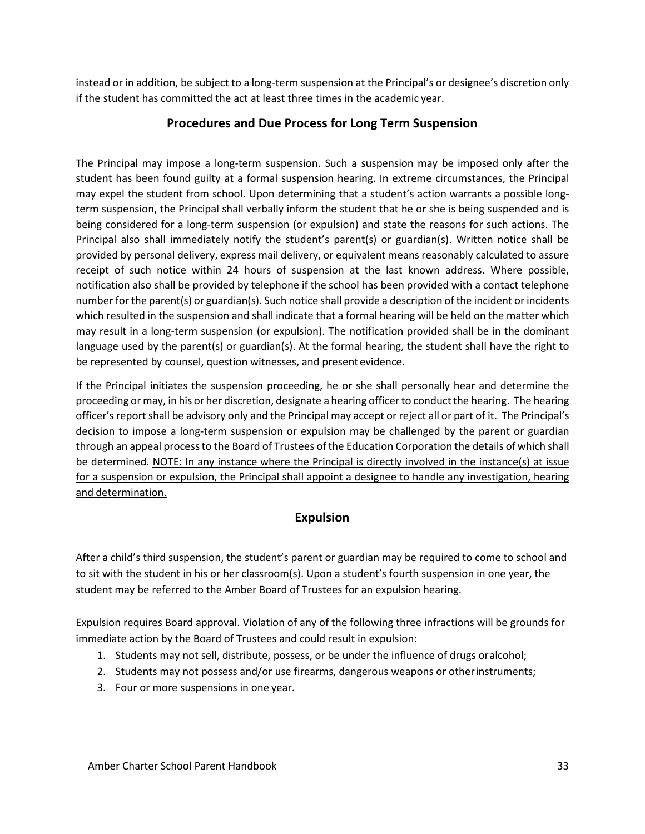<span id="page-33-0"></span>instead or in addition, be subject to a long-term suspension at the Principal's or designee's discretion only if the student has committed the act at least three times in the academic year.

### **Procedures and Due Process for Long Term Suspension**

The Principal may impose a long-term suspension. Such a suspension may be imposed only after the student has been found guilty at a formal suspension hearing. In extreme circumstances, the Principal may expel the student from school. Upon determining that a student's action warrants a possible longterm suspension, the Principal shall verbally inform the student that he or she is being suspended and is being considered for a long-term suspension (or expulsion) and state the reasons for such actions. The Principal also shall immediately notify the student's parent(s) or guardian(s). Written notice shall be provided by personal delivery, express mail delivery, or equivalent means reasonably calculated to assure receipt of such notice within 24 hours of suspension at the last known address. Where possible, notification also shall be provided by telephone if the school has been provided with a contact telephone number for the parent(s) or guardian(s). Such notice shall provide a description of the incident or incidents which resulted in the suspension and shall indicate that a formal hearing will be held on the matter which may result in a long-term suspension (or expulsion). The notification provided shall be in the dominant language used by the parent(s) or guardian(s). At the formal hearing, the student shall have the right to be represented by counsel, question witnesses, and present evidence.

If the Principal initiates the suspension proceeding, he or she shall personally hear and determine the proceeding or may, in his or her discretion, designate a hearing officer to conduct the hearing. The hearing officer's report shall be advisory only and the Principal may accept or reject all or part of it. The Principal's decision to impose a long-term suspension or expulsion may be challenged by the parent or guardian through an appeal processto the Board of Trustees ofthe Education Corporation the details of which shall be determined. NOTE: In any instance where the Principal is directly involved in the instance(s) at issue for a suspension or expulsion, the Principal shall appoint a designee to handle any investigation, hearing and determination.

### **Expulsion**

<span id="page-33-1"></span>After a child's third suspension, the student's parent or guardian may be required to come to school and to sit with the student in his or her classroom(s). Upon a student's fourth suspension in one year, the student may be referred to the Amber Board of Trustees for an expulsion hearing.

Expulsion requires Board approval. Violation of any of the following three infractions will be grounds for immediate action by the Board of Trustees and could result in expulsion:

- 1. Students may not sell, distribute, possess, or be under the influence of drugs oralcohol;
- 2. Students may not possess and/or use firearms, dangerous weapons or otherinstruments;
- 3. Four or more suspensions in one year.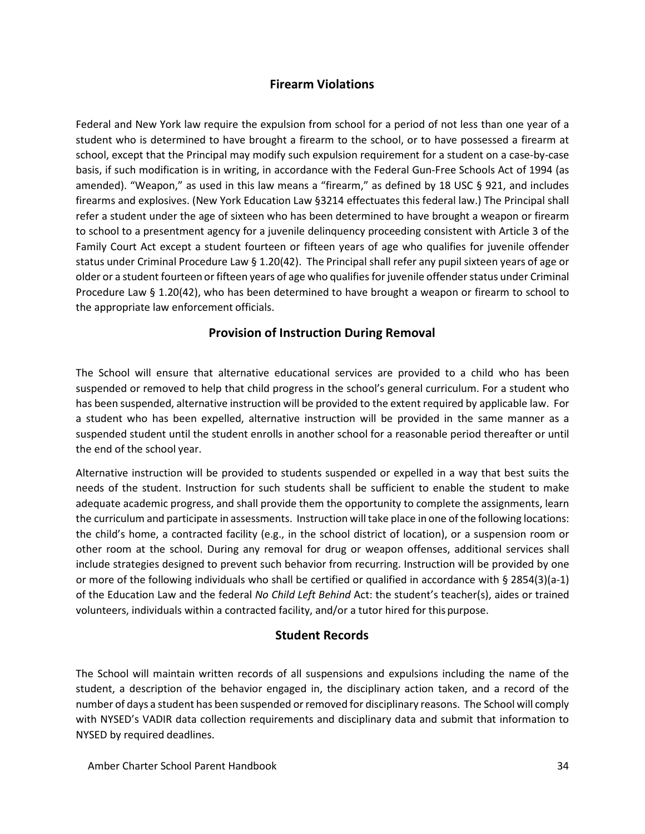### **Firearm Violations**

<span id="page-34-0"></span>Federal and New York law require the expulsion from school for a period of not less than one year of a student who is determined to have brought a firearm to the school, or to have possessed a firearm at school, except that the Principal may modify such expulsion requirement for a student on a case-by-case basis, if such modification is in writing, in accordance with the Federal Gun-Free Schools Act of 1994 (as amended). "Weapon," as used in this law means a "firearm," as defined by 18 USC § 921, and includes firearms and explosives. (New York Education Law §3214 effectuates this federal law.) The Principal shall refer a student under the age of sixteen who has been determined to have brought a weapon or firearm to school to a presentment agency for a juvenile delinquency proceeding consistent with Article 3 of the Family Court Act except a student fourteen or fifteen years of age who qualifies for juvenile offender status under Criminal Procedure Law § 1.20(42). The Principal shall refer any pupil sixteen years of age or older or a student fourteen or fifteen years of age who qualifies for juvenile offender status under Criminal Procedure Law § 1.20(42), who has been determined to have brought a weapon or firearm to school to the appropriate law enforcement officials.

### **Provision of Instruction During Removal**

<span id="page-34-1"></span>The School will ensure that alternative educational services are provided to a child who has been suspended or removed to help that child progress in the school's general curriculum. For a student who has been suspended, alternative instruction will be provided to the extent required by applicable law. For a student who has been expelled, alternative instruction will be provided in the same manner as a suspended student until the student enrolls in another school for a reasonable period thereafter or until the end of the school year.

Alternative instruction will be provided to students suspended or expelled in a way that best suits the needs of the student. Instruction for such students shall be sufficient to enable the student to make adequate academic progress, and shall provide them the opportunity to complete the assignments, learn the curriculum and participate in assessments. Instruction will take place in one of the following locations: the child's home, a contracted facility (e.g., in the school district of location), or a suspension room or other room at the school. During any removal for drug or weapon offenses, additional services shall include strategies designed to prevent such behavior from recurring. Instruction will be provided by one or more of the following individuals who shall be certified or qualified in accordance with § 2854(3)(a-1) of the Education Law and the federal *No Child Left Behind* Act: the student's teacher(s), aides or trained volunteers, individuals within a contracted facility, and/or a tutor hired for thispurpose.

### **Student Records**

The School will maintain written records of all suspensions and expulsions including the name of the student, a description of the behavior engaged in, the disciplinary action taken, and a record of the number of days a student has been suspended or removed for disciplinary reasons. The School will comply with NYSED's VADIR data collection requirements and disciplinary data and submit that information to NYSED by required deadlines.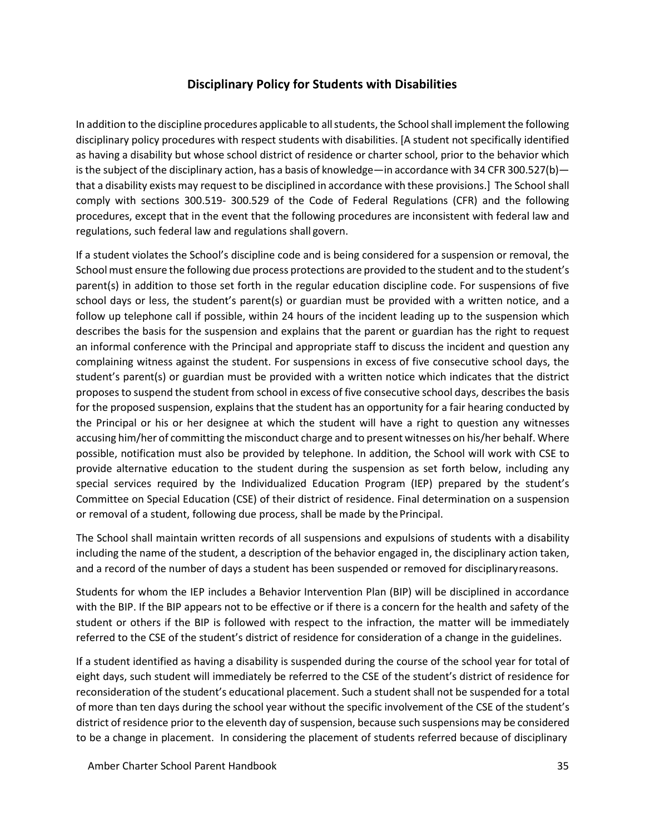### **Disciplinary Policy for Students with Disabilities**

<span id="page-35-0"></span>In addition to the discipline procedures applicable to all students, the School shall implement the following disciplinary policy procedures with respect students with disabilities. [A student not specifically identified as having a disability but whose school district of residence or charter school, prior to the behavior which is the subject of the disciplinary action, has a basis of knowledge—in accordance with 34 CFR 300.527(b) that a disability exists may request to be disciplined in accordance with these provisions.] The School shall comply with sections 300.519- 300.529 of the Code of Federal Regulations (CFR) and the following procedures, except that in the event that the following procedures are inconsistent with federal law and regulations, such federal law and regulations shall govern.

If a student violates the School's discipline code and is being considered for a suspension or removal, the School must ensure the following due process protections are provided to the student and to the student's parent(s) in addition to those set forth in the regular education discipline code. For suspensions of five school days or less, the student's parent(s) or guardian must be provided with a written notice, and a follow up telephone call if possible, within 24 hours of the incident leading up to the suspension which describes the basis for the suspension and explains that the parent or guardian has the right to request an informal conference with the Principal and appropriate staff to discuss the incident and question any complaining witness against the student. For suspensions in excess of five consecutive school days, the student's parent(s) or guardian must be provided with a written notice which indicates that the district proposesto suspend the student from school in excess of five consecutive school days, describesthe basis for the proposed suspension, explains that the student has an opportunity for a fair hearing conducted by the Principal or his or her designee at which the student will have a right to question any witnesses accusing him/her of committing the misconduct charge and to present witnesses on his/her behalf. Where possible, notification must also be provided by telephone. In addition, the School will work with CSE to provide alternative education to the student during the suspension as set forth below, including any special services required by the Individualized Education Program (IEP) prepared by the student's Committee on Special Education (CSE) of their district of residence. Final determination on a suspension or removal of a student, following due process, shall be made by the Principal.

The School shall maintain written records of all suspensions and expulsions of students with a disability including the name of the student, a description of the behavior engaged in, the disciplinary action taken, and a record of the number of days a student has been suspended or removed for disciplinaryreasons.

Students for whom the IEP includes a Behavior Intervention Plan (BIP) will be disciplined in accordance with the BIP. If the BIP appears not to be effective or if there is a concern for the health and safety of the student or others if the BIP is followed with respect to the infraction, the matter will be immediately referred to the CSE of the student's district of residence for consideration of a change in the guidelines.

If a student identified as having a disability is suspended during the course of the school year for total of eight days, such student will immediately be referred to the CSE of the student's district of residence for reconsideration of the student's educational placement. Such a student shall not be suspended for a total of more than ten days during the school year without the specific involvement of the CSE of the student's district of residence prior to the eleventh day of suspension, because such suspensions may be considered to be a change in placement. In considering the placement of students referred because of disciplinary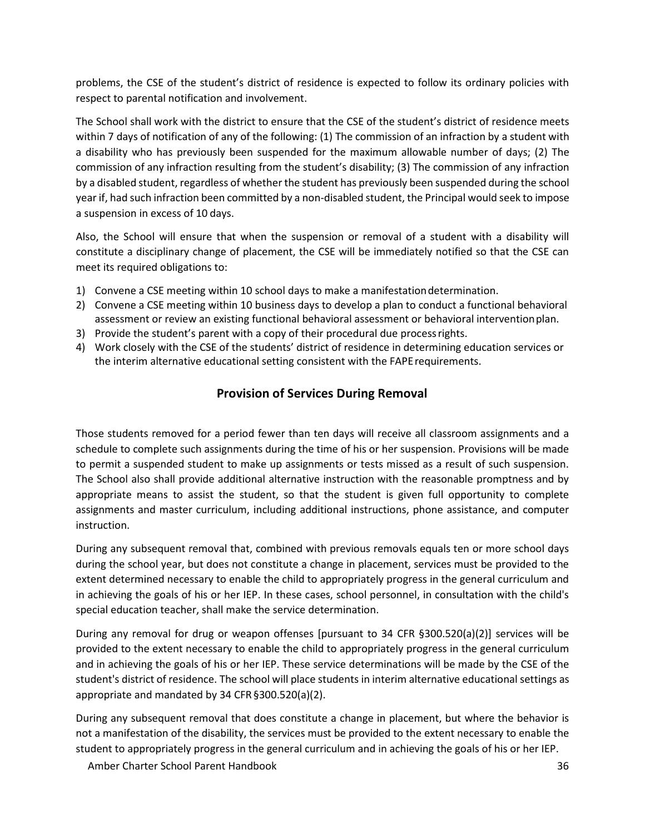problems, the CSE of the student's district of residence is expected to follow its ordinary policies with respect to parental notification and involvement.

The School shall work with the district to ensure that the CSE of the student's district of residence meets within 7 days of notification of any of the following: (1) The commission of an infraction by a student with a disability who has previously been suspended for the maximum allowable number of days; (2) The commission of any infraction resulting from the student's disability; (3) The commission of any infraction by a disabled student, regardless of whether the student has previously been suspended during the school year if, had such infraction been committed by a non-disabled student, the Principal would seek to impose a suspension in excess of 10 days.

Also, the School will ensure that when the suspension or removal of a student with a disability will constitute a disciplinary change of placement, the CSE will be immediately notified so that the CSE can meet its required obligations to:

- 1) Convene a CSE meeting within 10 school days to make a manifestationdetermination.
- 2) Convene a CSE meeting within 10 business days to develop a plan to conduct a functional behavioral assessment or review an existing functional behavioral assessment or behavioral interventionplan.
- 3) Provide the student's parent with a copy of their procedural due processrights.
- 4) Work closely with the CSE of the students' district of residence in determining education services or the interim alternative educational setting consistent with the FAPErequirements.

### **Provision of Services During Removal**

<span id="page-36-0"></span>Those students removed for a period fewer than ten days will receive all classroom assignments and a schedule to complete such assignments during the time of his or her suspension. Provisions will be made to permit a suspended student to make up assignments or tests missed as a result of such suspension. The School also shall provide additional alternative instruction with the reasonable promptness and by appropriate means to assist the student, so that the student is given full opportunity to complete assignments and master curriculum, including additional instructions, phone assistance, and computer instruction.

During any subsequent removal that, combined with previous removals equals ten or more school days during the school year, but does not constitute a change in placement, services must be provided to the extent determined necessary to enable the child to appropriately progress in the general curriculum and in achieving the goals of his or her IEP. In these cases, school personnel, in consultation with the child's special education teacher, shall make the service determination.

During any removal for drug or weapon offenses [pursuant to 34 CFR §300.520(a)(2)] services will be provided to the extent necessary to enable the child to appropriately progress in the general curriculum and in achieving the goals of his or her IEP. These service determinations will be made by the CSE of the student's district of residence. The school will place students in interim alternative educational settings as appropriate and mandated by 34 CFR§300.520(a)(2).

During any subsequent removal that does constitute a change in placement, but where the behavior is not a manifestation of the disability, the services must be provided to the extent necessary to enable the student to appropriately progress in the general curriculum and in achieving the goals of his or her IEP.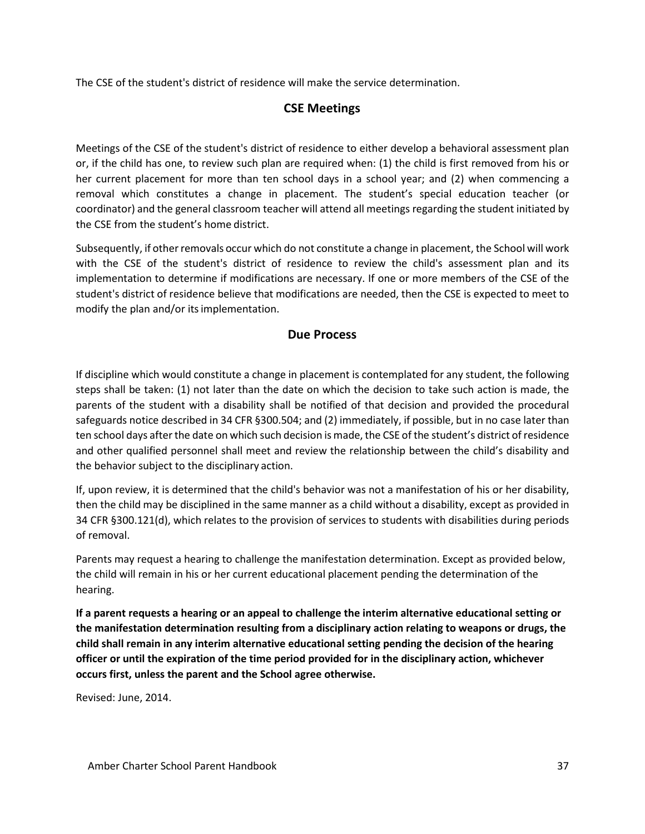<span id="page-37-0"></span>The CSE of the student's district of residence will make the service determination.

### **CSE Meetings**

Meetings of the CSE of the student's district of residence to either develop a behavioral assessment plan or, if the child has one, to review such plan are required when: (1) the child is first removed from his or her current placement for more than ten school days in a school year; and (2) when commencing a removal which constitutes a change in placement. The student's special education teacher (or coordinator) and the general classroom teacher will attend all meetings regarding the student initiated by the CSE from the student's home district.

Subsequently, if other removals occur which do not constitute a change in placement, the School will work with the CSE of the student's district of residence to review the child's assessment plan and its implementation to determine if modifications are necessary. If one or more members of the CSE of the student's district of residence believe that modifications are needed, then the CSE is expected to meet to modify the plan and/or itsimplementation.

#### **Due Process**

<span id="page-37-1"></span>If discipline which would constitute a change in placement is contemplated for any student, the following steps shall be taken: (1) not later than the date on which the decision to take such action is made, the parents of the student with a disability shall be notified of that decision and provided the procedural safeguards notice described in 34 CFR §300.504; and (2) immediately, if possible, but in no case later than ten school days afterthe date on which such decision is made, the CSE of the student's district ofresidence and other qualified personnel shall meet and review the relationship between the child's disability and the behavior subject to the disciplinary action.

If, upon review, it is determined that the child's behavior was not a manifestation of his or her disability, then the child may be disciplined in the same manner as a child without a disability, except as provided in 34 CFR §300.121(d), which relates to the provision of services to students with disabilities during periods of removal.

Parents may request a hearing to challenge the manifestation determination. Except as provided below, the child will remain in his or her current educational placement pending the determination of the hearing.

**If a parent requests a hearing or an appeal to challenge the interim alternative educational setting or the manifestation determination resulting from a disciplinary action relating to weapons or drugs, the child shall remain in any interim alternative educational setting pending the decision of the hearing officer or until the expiration of the time period provided for in the disciplinary action, whichever occurs first, unless the parent and the School agree otherwise.**

Revised: June, 2014.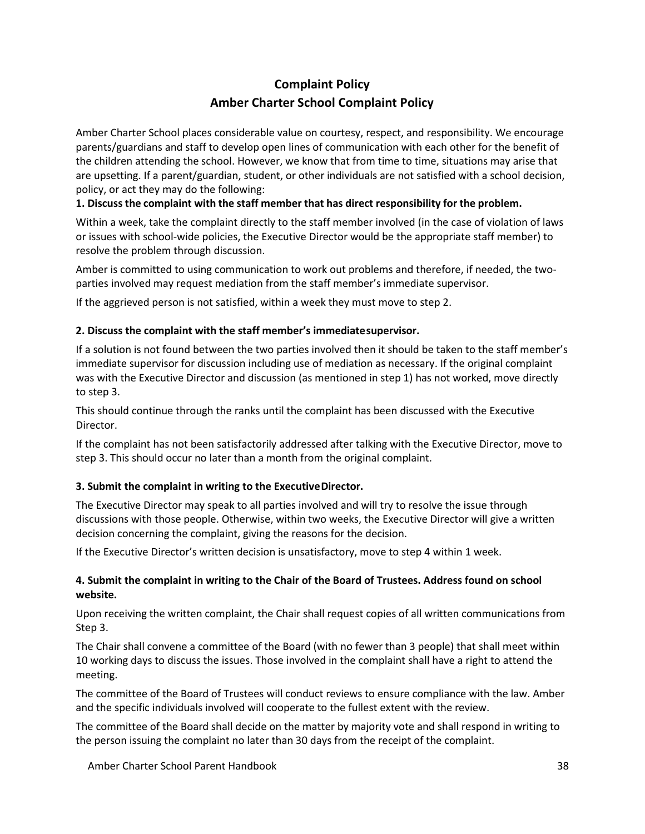## **Complaint Policy Amber Charter School Complaint Policy**

<span id="page-38-0"></span>Amber Charter School places considerable value on courtesy, respect, and responsibility. We encourage parents/guardians and staff to develop open lines of communication with each other for the benefit of the children attending the school. However, we know that from time to time, situations may arise that are upsetting. If a parent/guardian, student, or other individuals are not satisfied with a school decision, policy, or act they may do the following:

#### **1. Discuss the complaint with the staff member that has direct responsibility for the problem.**

Within a week, take the complaint directly to the staff member involved (in the case of violation of laws or issues with school-wide policies, the Executive Director would be the appropriate staff member) to resolve the problem through discussion.

Amber is committed to using communication to work out problems and therefore, if needed, the twoparties involved may request mediation from the staff member's immediate supervisor.

If the aggrieved person is not satisfied, within a week they must move to step 2.

#### **2. Discuss the complaint with the staff member's immediatesupervisor.**

If a solution is not found between the two parties involved then it should be taken to the staff member's immediate supervisor for discussion including use of mediation as necessary. If the original complaint was with the Executive Director and discussion (as mentioned in step 1) has not worked, move directly to step 3.

This should continue through the ranks until the complaint has been discussed with the Executive Director.

If the complaint has not been satisfactorily addressed after talking with the Executive Director, move to step 3. This should occur no later than a month from the original complaint.

#### **3. Submit the complaint in writing to the ExecutiveDirector.**

The Executive Director may speak to all parties involved and will try to resolve the issue through discussions with those people. Otherwise, within two weeks, the Executive Director will give a written decision concerning the complaint, giving the reasons for the decision.

If the Executive Director's written decision is unsatisfactory, move to step 4 within 1 week.

#### **4. Submit the complaint in writing to the Chair of the Board of Trustees. Address found on school website.**

Upon receiving the written complaint, the Chair shall request copies of all written communications from Step 3.

The Chair shall convene a committee of the Board (with no fewer than 3 people) that shall meet within 10 working days to discuss the issues. Those involved in the complaint shall have a right to attend the meeting.

The committee of the Board of Trustees will conduct reviews to ensure compliance with the law. Amber and the specific individuals involved will cooperate to the fullest extent with the review.

The committee of the Board shall decide on the matter by majority vote and shall respond in writing to the person issuing the complaint no later than 30 days from the receipt of the complaint.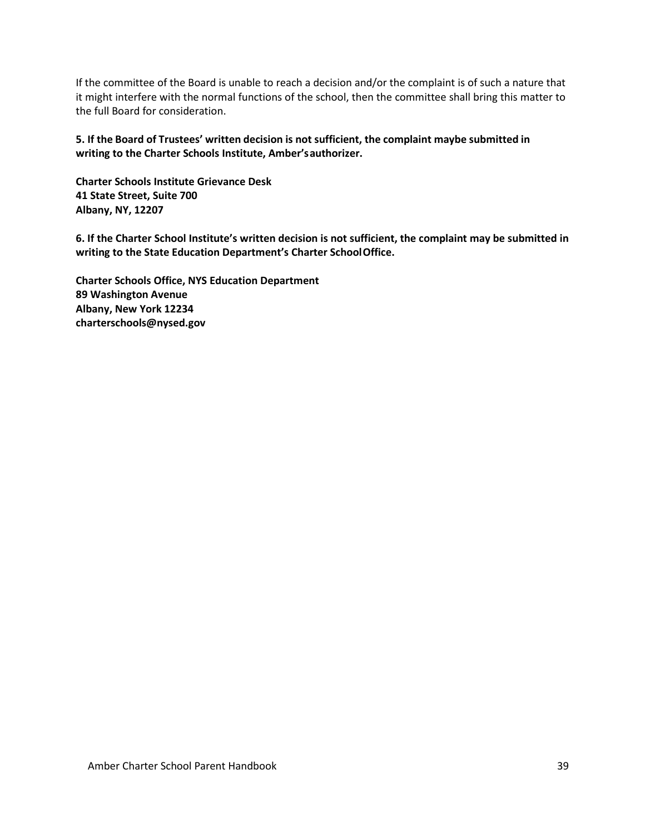If the committee of the Board is unable to reach a decision and/or the complaint is of such a nature that it might interfere with the normal functions of the school, then the committee shall bring this matter to the full Board for consideration.

**5. If the Board of Trustees' written decision is not sufficient, the complaint maybe submitted in writing to the Charter Schools Institute, Amber'sauthorizer.**

**Charter Schools Institute Grievance Desk 41 State Street, Suite 700 Albany, NY, 12207**

**6. If the Charter School Institute's written decision is not sufficient, the complaint may be submitted in writing to the State Education Department's Charter SchoolOffice.**

**Charter Schools Office, NYS Education Department 89 Washington Avenue Albany, New York 1223[4](mailto:charterschools@nysed.gov) [charterschools@nysed.gov](mailto:charterschools@nysed.gov)**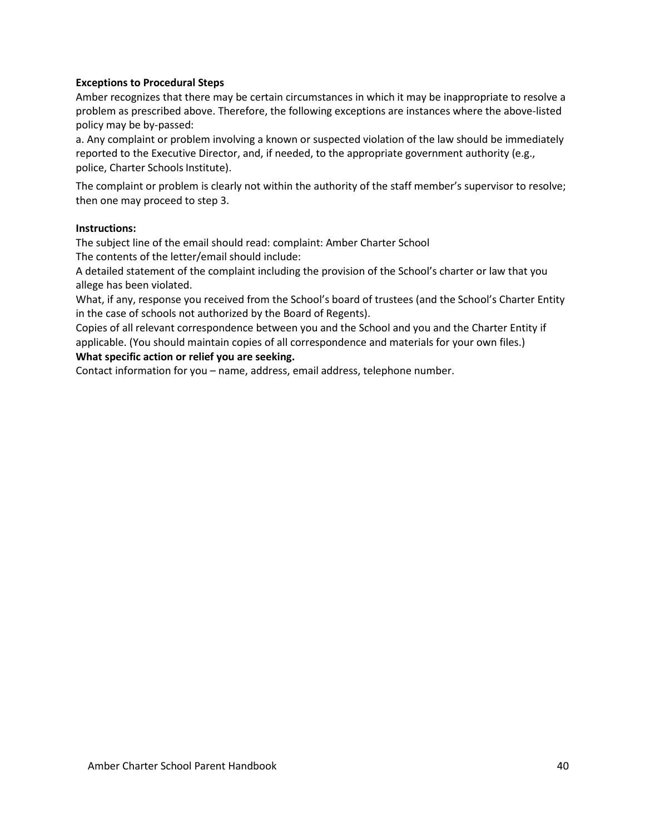#### **Exceptions to Procedural Steps**

Amber recognizes that there may be certain circumstances in which it may be inappropriate to resolve a problem as prescribed above. Therefore, the following exceptions are instances where the above-listed policy may be by-passed:

a. Any complaint or problem involving a known or suspected violation of the law should be immediately reported to the Executive Director, and, if needed, to the appropriate government authority (e.g., police, Charter Schools Institute).

The complaint or problem is clearly not within the authority of the staff member's supervisor to resolve; then one may proceed to step 3.

#### **Instructions:**

The subject line of the email should read: complaint: Amber Charter School The contents of the letter/email should include:

A detailed statement of the complaint including the provision of the School's charter or law that you allege has been violated.

What, if any, response you received from the School's board of trustees (and the School's Charter Entity in the case of schools not authorized by the Board of Regents).

Copies of all relevant correspondence between you and the School and you and the Charter Entity if applicable. (You should maintain copies of all correspondence and materials for your own files.)

#### **What specific action or relief you are seeking.**

Contact information for you – name, address, email address, telephone number.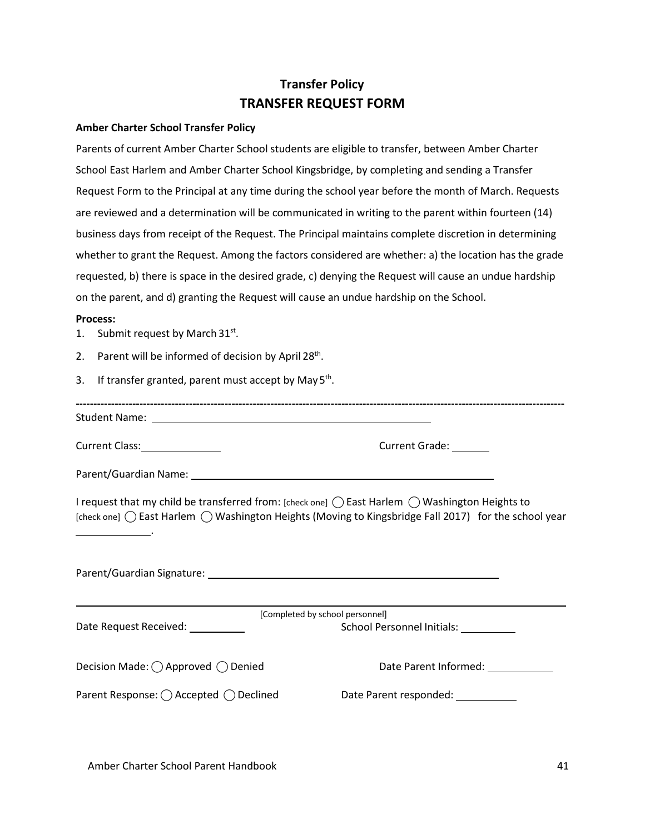## **Transfer Policy TRANSFER REQUEST FORM**

#### <span id="page-41-0"></span>**Amber Charter School Transfer Policy**

Parents of current Amber Charter School students are eligible to transfer, between Amber Charter School East Harlem and Amber Charter School Kingsbridge, by completing and sending a Transfer Request Form to the Principal at any time during the school year before the month of March. Requests are reviewed and a determination will be communicated in writing to the parent within fourteen (14) business days from receipt of the Request. The Principal maintains complete discretion in determining whether to grant the Request. Among the factors considered are whether: a) the location has the grade requested, b) there is space in the desired grade, c) denying the Request will cause an undue hardship on the parent, and d) granting the Request will cause an undue hardship on the School.

#### **Process:**

1. Submit request by March  $31^{st}$ .

.

- 2. Parent will be informed of decision by April  $28<sup>th</sup>$ .
- 3. If transfer granted, parent must accept by May  $5<sup>th</sup>$ .

**------------------------------------------------------------------------------------------------------------------------------------------** Student Name:

Current Class: Current Class: Current Grade:

Parent/Guardian Name:

I request that my child be transferred from: [check one]  $\bigcap$  East Harlem  $\bigcap$  Washington Heights to [check one]  $\bigcap$  East Harlem  $\bigcap$  Washington Heights (Moving to Kingsbridge Fall 2017) for the school year

Parent/Guardian Signature:

Date Request Received: [Completed by school personnel] School Personnel Initials: Decision Made: ◯ Approved ◯ Denied Date Parent Informed: Parent Response: ( ) Accepted ( ) Declined Date Parent responded: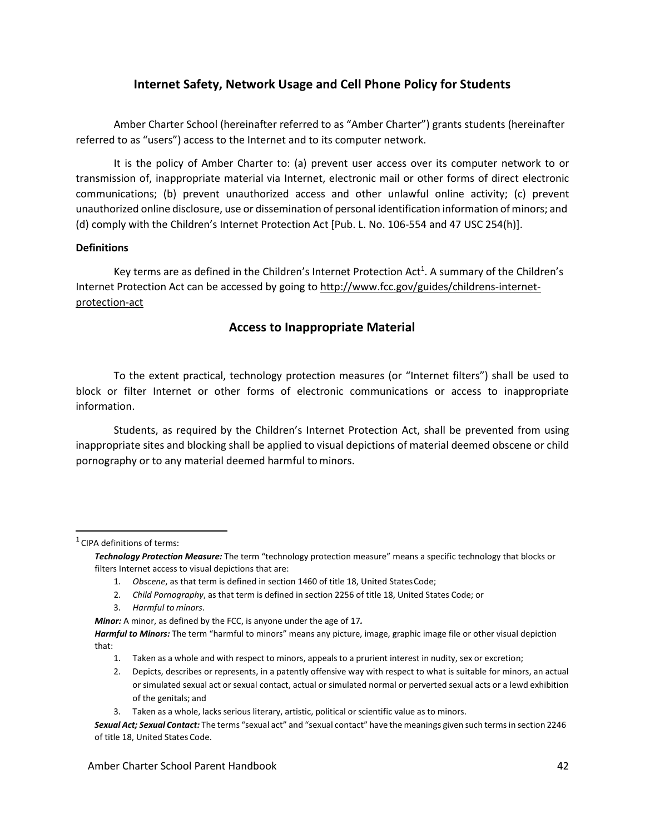### **Internet Safety, Network Usage and Cell Phone Policy for Students**

<span id="page-42-0"></span>Amber Charter School (hereinafter referred to as "Amber Charter") grants students (hereinafter referred to as "users") access to the Internet and to its computer network.

It is the policy of Amber Charter to: (a) prevent user access over its computer network to or transmission of, inappropriate material via Internet, electronic mail or other forms of direct electronic communications; (b) prevent unauthorized access and other unlawful online activity; (c) prevent unauthorized online disclosure, use or dissemination of personal identification information ofminors; and (d) comply with the Children's Internet Protection Act [Pub. L. No. 106-554 and 47 USC 254(h)].

#### **Definitions**

Key terms are as defined in the Children's Internet Protection Act<sup>1</sup>. A summary of the Children's Internet Protection Act can be accessed by going to [http://www.fcc.gov/guides/childrens-internet](http://www.fcc.gov/guides/childrens-internet-protection-act)[protection-act](http://www.fcc.gov/guides/childrens-internet-protection-act)

### **Access to Inappropriate Material**

To the extent practical, technology protection measures (or "Internet filters") shall be used to block or filter Internet or other forms of electronic communications or access to inappropriate information.

Students, as required by the Children's Internet Protection Act, shall be prevented from using inappropriate sites and blocking shall be applied to visual depictions of material deemed obscene or child pornography or to any material deemed harmful tominors.

 $1$  CIPA definitions of terms:

- 1. *Obscene*, as that term is defined in section 1460 of title 18, United StatesCode;
- 2. *Child Pornography*, as that term is defined in section 2256 of title 18, United States Code; or
- 3. *Harmful to minors*.

*Minor:* A minor, as defined by the FCC, is anyone under the age of 17*.*

- 1. Taken as a whole and with respect to minors, appeals to a prurient interest in nudity, sex or excretion;
- 2. Depicts, describes or represents, in a patently offensive way with respect to what is suitable for minors, an actual or simulated sexual act or sexual contact, actual or simulated normal or perverted sexual acts or a lewd exhibition of the genitals; and

*Technology Protection Measure:* The term "technology protection measure" means a specific technology that blocks or filters Internet access to visual depictions that are:

*Harmful to Minors:* The term "harmful to minors" means any picture, image, graphic image file or other visual depiction that:

<sup>3.</sup> Taken as a whole, lacks serious literary, artistic, political or scientific value as to minors.

*Sexual Act; Sexual Contact:* The terms "sexual act" and "sexual contact" have the meanings given such termsin section 2246 of title 18, United States Code.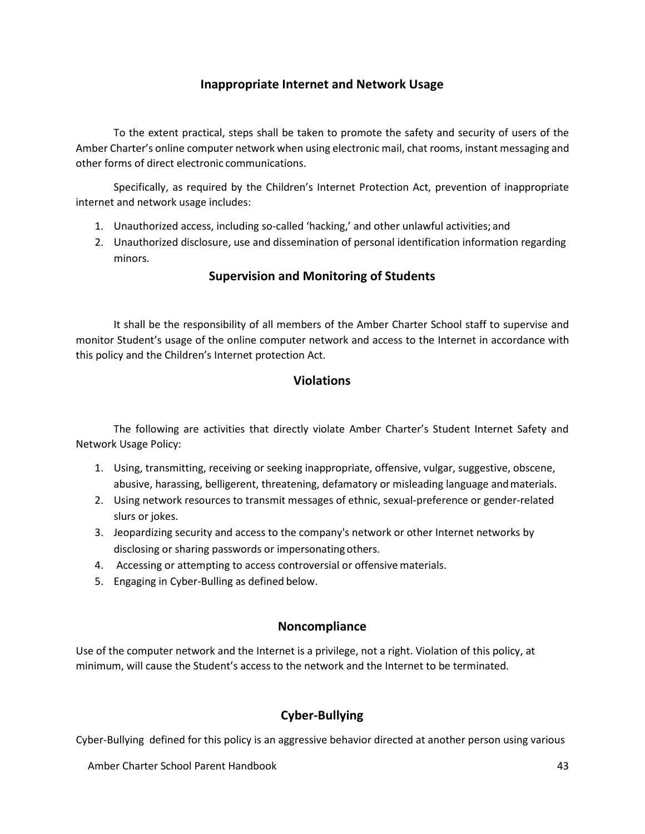### **Inappropriate Internet and Network Usage**

To the extent practical, steps shall be taken to promote the safety and security of users of the Amber Charter's online computer network when using electronic mail, chat rooms, instant messaging and other forms of direct electronic communications.

Specifically, as required by the Children's Internet Protection Act, prevention of inappropriate internet and network usage includes:

- 1. Unauthorized access, including so-called 'hacking,' and other unlawful activities; and
- 2. Unauthorized disclosure, use and dissemination of personal identification information regarding minors.

### **Supervision and Monitoring of Students**

It shall be the responsibility of all members of the Amber Charter School staff to supervise and monitor Student's usage of the online computer network and access to the Internet in accordance with this policy and the Children's Internet protection Act.

### **Violations**

The following are activities that directly violate Amber Charter's Student Internet Safety and Network Usage Policy:

- 1. Using, transmitting, receiving or seeking inappropriate, offensive, vulgar, suggestive, obscene, abusive, harassing, belligerent, threatening, defamatory or misleading language andmaterials.
- 2. Using network resources to transmit messages of ethnic, sexual-preference or gender-related slurs or jokes.
- 3. Jeopardizing security and access to the company's network or other Internet networks by disclosing or sharing passwords or impersonating others.
- 4. Accessing or attempting to access controversial or offensive materials.
- 5. Engaging in Cyber-Bulling as defined below.

### **Noncompliance**

Use of the computer network and the Internet is a privilege, not a right. Violation of this policy, at minimum, will cause the Student's access to the network and the Internet to be terminated.

### **Cyber-Bullying**

Cyber-Bullying defined for this policy is an aggressive behavior directed at another person using various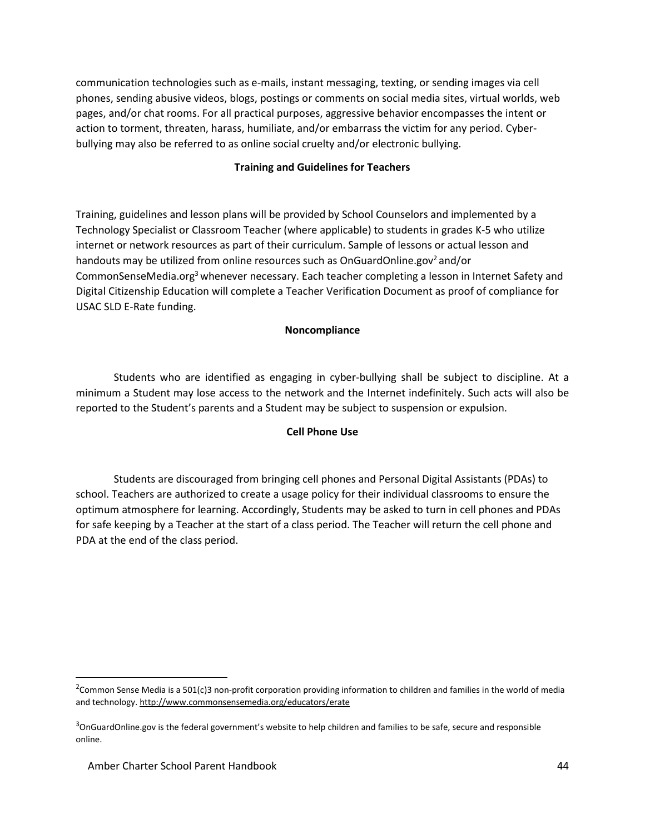communication technologies such as e-mails, instant messaging, texting, or sending images via cell phones, sending abusive videos, blogs, postings or comments on social media sites, virtual worlds, web pages, and/or chat rooms. For all practical purposes, aggressive behavior encompasses the intent or action to torment, threaten, harass, humiliate, and/or embarrass the victim for any period. Cyberbullying may also be referred to as online social cruelty and/or electronic bullying.

#### **Training and Guidelines for Teachers**

Training, guidelines and lesson plans will be provided by School Counselors and implemented by a Technology Specialist or Classroom Teacher (where applicable) to students in grades K-5 who utilize internet or network resources as part of their curriculum. Sample of lessons or actual lesson and handouts may be utilized from online resources such as OnGuardOnline.gov<sup>2</sup> and/or CommonSenseMedia.org<sup>3</sup> whenever necessary. Each teacher completing a lesson in Internet Safety and Digital Citizenship Education will complete a Teacher Verification Document as proof of compliance for USAC SLD E-Rate funding.

#### **Noncompliance**

Students who are identified as engaging in cyber-bullying shall be subject to discipline. At a minimum a Student may lose access to the network and the Internet indefinitely. Such acts will also be reported to the Student's parents and a Student may be subject to suspension or expulsion.

#### **Cell Phone Use**

Students are discouraged from bringing cell phones and Personal Digital Assistants (PDAs) to school. Teachers are authorized to create a usage policy for their individual classrooms to ensure the optimum atmosphere for learning. Accordingly, Students may be asked to turn in cell phones and PDAs for safe keeping by a Teacher at the start of a class period. The Teacher will return the cell phone and PDA at the end of the class period.

<sup>&</sup>lt;sup>2</sup>Common Sense Media is a 501(c)3 non-profit corporation providing information to children and families in the world of media and technology[. http://www.commonsensemedia.org/educators/erate](http://www.commonsensemedia.org/educators/erate)

 $^3$ OnGuardOnline.gov is the federal government's website to help children and families to be safe, secure and responsible online.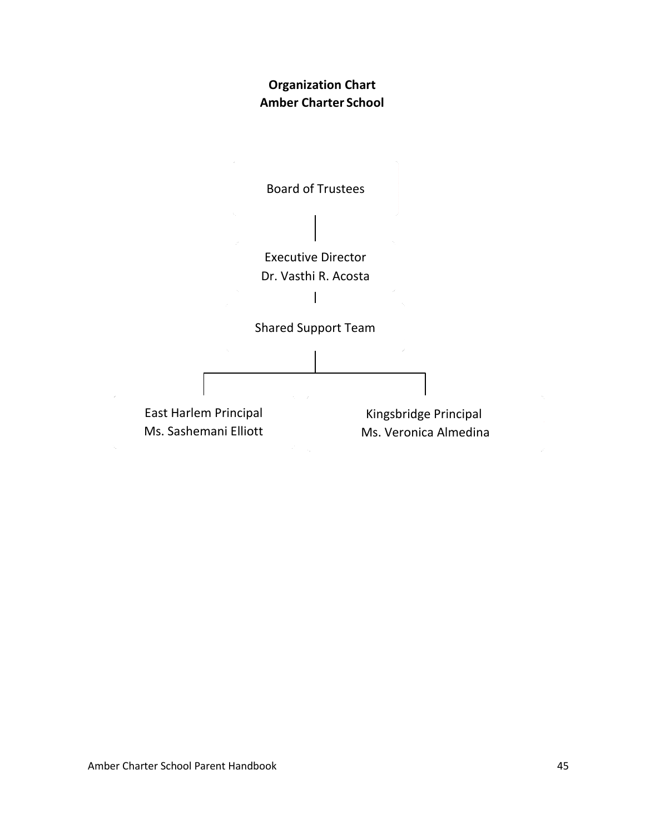### **Organization Chart Amber Charter School**

<span id="page-45-0"></span>